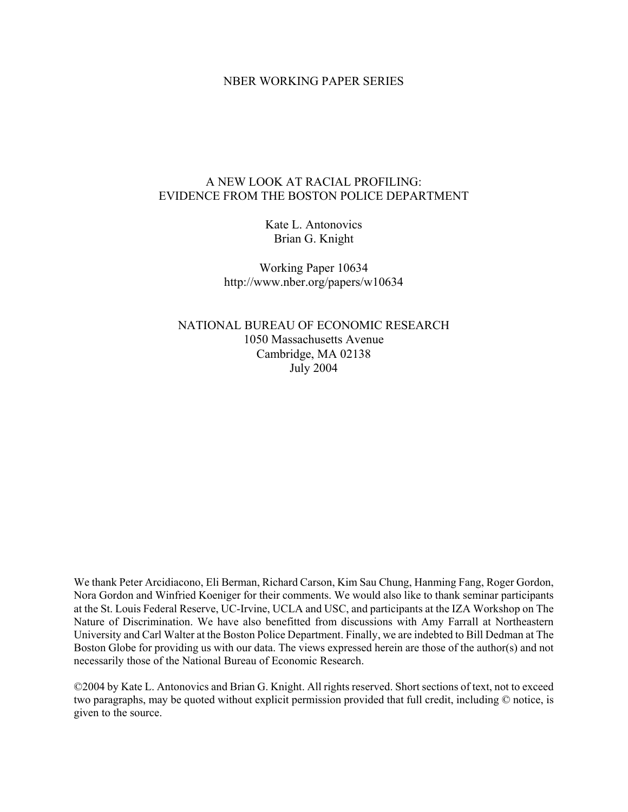#### NBER WORKING PAPER SERIES

#### A NEW LOOK AT RACIAL PROFILING: EVIDENCE FROM THE BOSTON POLICE DEPARTMENT

Kate L. Antonovics Brian G. Knight

Working Paper 10634 http://www.nber.org/papers/w10634

NATIONAL BUREAU OF ECONOMIC RESEARCH 1050 Massachusetts Avenue Cambridge, MA 02138 July 2004

We thank Peter Arcidiacono, Eli Berman, Richard Carson, Kim Sau Chung, Hanming Fang, Roger Gordon, Nora Gordon and Winfried Koeniger for their comments. We would also like to thank seminar participants at the St. Louis Federal Reserve, UC-Irvine, UCLA and USC, and participants at the IZA Workshop on The Nature of Discrimination. We have also benefitted from discussions with Amy Farrall at Northeastern University and Carl Walter at the Boston Police Department. Finally, we are indebted to Bill Dedman at The Boston Globe for providing us with our data. The views expressed herein are those of the author(s) and not necessarily those of the National Bureau of Economic Research.

©2004 by Kate L. Antonovics and Brian G. Knight. All rights reserved. Short sections of text, not to exceed two paragraphs, may be quoted without explicit permission provided that full credit, including © notice, is given to the source.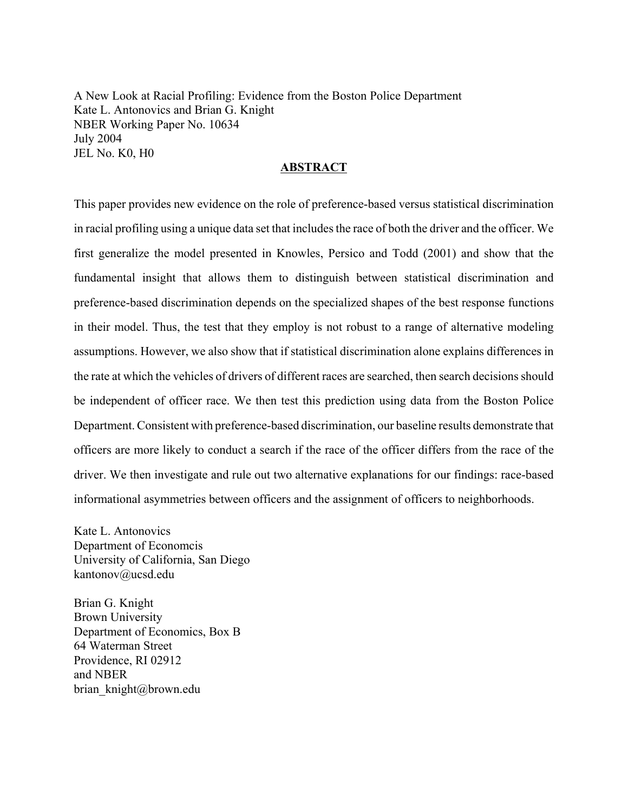A New Look at Racial Profiling: Evidence from the Boston Police Department Kate L. Antonovics and Brian G. Knight NBER Working Paper No. 10634 July 2004 JEL No. K0, H0

#### **ABSTRACT**

This paper provides new evidence on the role of preference-based versus statistical discrimination in racial profiling using a unique data set that includes the race of both the driver and the officer. We first generalize the model presented in Knowles, Persico and Todd (2001) and show that the fundamental insight that allows them to distinguish between statistical discrimination and preference-based discrimination depends on the specialized shapes of the best response functions in their model. Thus, the test that they employ is not robust to a range of alternative modeling assumptions. However, we also show that if statistical discrimination alone explains differences in the rate at which the vehicles of drivers of different races are searched, then search decisions should be independent of officer race. We then test this prediction using data from the Boston Police Department. Consistent with preference-based discrimination, our baseline results demonstrate that officers are more likely to conduct a search if the race of the officer differs from the race of the driver. We then investigate and rule out two alternative explanations for our findings: race-based informational asymmetries between officers and the assignment of officers to neighborhoods.

Kate L. Antonovics Department of Economcis University of California, San Diego kantonov@ucsd.edu

Brian G. Knight Brown University Department of Economics, Box B 64 Waterman Street Providence, RI 02912 and NBER brian knight@brown.edu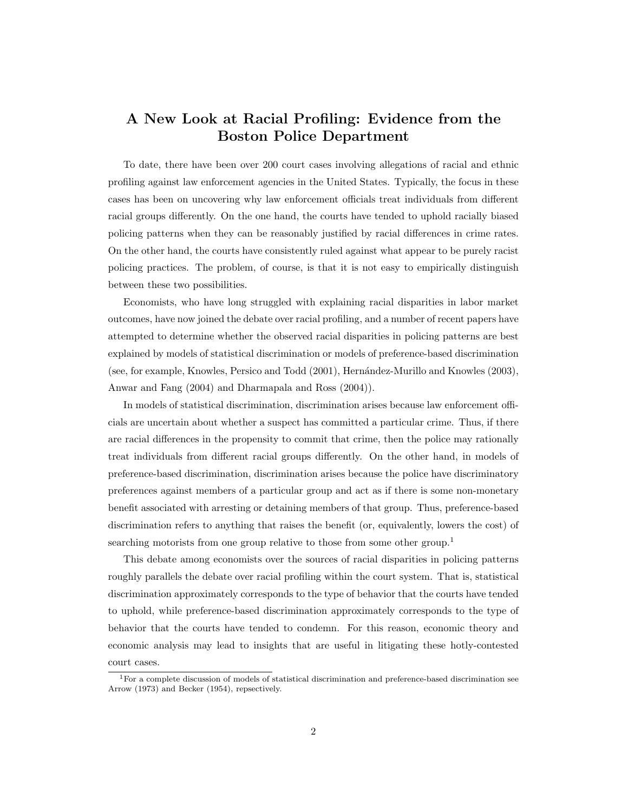## A New Look at Racial Profiling: Evidence from the Boston Police Department

To date, there have been over 200 court cases involving allegations of racial and ethnic profiling against law enforcement agencies in the United States. Typically, the focus in these cases has been on uncovering why law enforcement officials treat individuals from different racial groups differently. On the one hand, the courts have tended to uphold racially biased policing patterns when they can be reasonably justified by racial differences in crime rates. On the other hand, the courts have consistently ruled against what appear to be purely racist policing practices. The problem, of course, is that it is not easy to empirically distinguish between these two possibilities.

Economists, who have long struggled with explaining racial disparities in labor market outcomes, have now joined the debate over racial profiling, and a number of recent papers have attempted to determine whether the observed racial disparities in policing patterns are best explained by models of statistical discrimination or models of preference-based discrimination (see, for example, Knowles, Persico and Todd (2001), Hernández-Murillo and Knowles (2003), Anwar and Fang (2004) and Dharmapala and Ross (2004)).

In models of statistical discrimination, discrimination arises because law enforcement officials are uncertain about whether a suspect has committed a particular crime. Thus, if there are racial differences in the propensity to commit that crime, then the police may rationally treat individuals from different racial groups differently. On the other hand, in models of preference-based discrimination, discrimination arises because the police have discriminatory preferences against members of a particular group and act as if there is some non-monetary benefit associated with arresting or detaining members of that group. Thus, preference-based discrimination refers to anything that raises the benefit (or, equivalently, lowers the cost) of searching motorists from one group relative to those from some other group.<sup>1</sup>

This debate among economists over the sources of racial disparities in policing patterns roughly parallels the debate over racial profiling within the court system. That is, statistical discrimination approximately corresponds to the type of behavior that the courts have tended to uphold, while preference-based discrimination approximately corresponds to the type of behavior that the courts have tended to condemn. For this reason, economic theory and economic analysis may lead to insights that are useful in litigating these hotly-contested court cases.

<sup>&</sup>lt;sup>1</sup>For a complete discussion of models of statistical discrimination and preference-based discrimination see Arrow (1973) and Becker (1954), repsectively.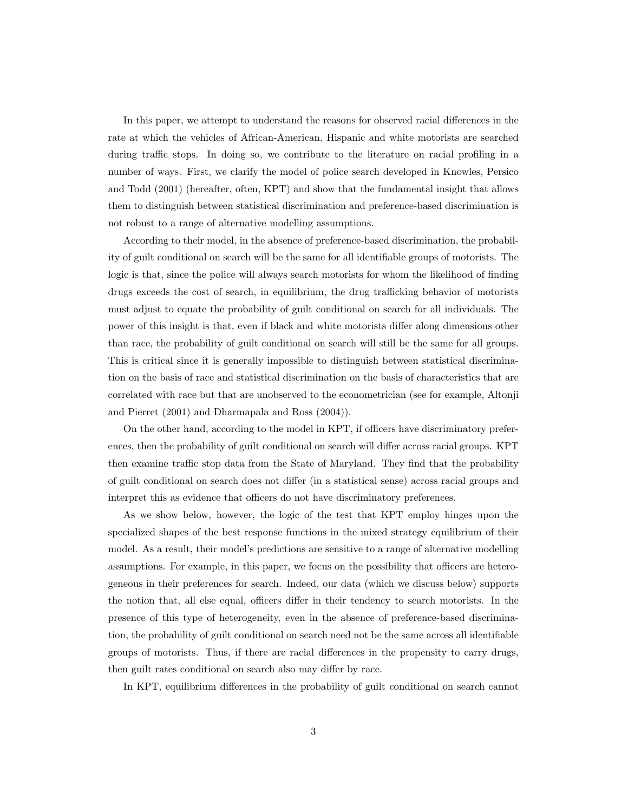In this paper, we attempt to understand the reasons for observed racial differences in the rate at which the vehicles of African-American, Hispanic and white motorists are searched during traffic stops. In doing so, we contribute to the literature on racial profiling in a number of ways. First, we clarify the model of police search developed in Knowles, Persico and Todd (2001) (hereafter, often, KPT) and show that the fundamental insight that allows them to distinguish between statistical discrimination and preference-based discrimination is not robust to a range of alternative modelling assumptions.

According to their model, in the absence of preference-based discrimination, the probability of guilt conditional on search will be the same for all identifiable groups of motorists. The logic is that, since the police will always search motorists for whom the likelihood of finding drugs exceeds the cost of search, in equilibrium, the drug trafficking behavior of motorists must adjust to equate the probability of guilt conditional on search for all individuals. The power of this insight is that, even if black and white motorists differ along dimensions other than race, the probability of guilt conditional on search will still be the same for all groups. This is critical since it is generally impossible to distinguish between statistical discrimination on the basis of race and statistical discrimination on the basis of characteristics that are correlated with race but that are unobserved to the econometrician (see for example, Altonji and Pierret (2001) and Dharmapala and Ross (2004)).

On the other hand, according to the model in KPT, if officers have discriminatory preferences, then the probability of guilt conditional on search will differ across racial groups. KPT then examine traffic stop data from the State of Maryland. They find that the probability of guilt conditional on search does not differ (in a statistical sense) across racial groups and interpret this as evidence that officers do not have discriminatory preferences.

As we show below, however, the logic of the test that KPT employ hinges upon the specialized shapes of the best response functions in the mixed strategy equilibrium of their model. As a result, their model's predictions are sensitive to a range of alternative modelling assumptions. For example, in this paper, we focus on the possibility that officers are heterogeneous in their preferences for search. Indeed, our data (which we discuss below) supports the notion that, all else equal, officers differ in their tendency to search motorists. In the presence of this type of heterogeneity, even in the absence of preference-based discrimination, the probability of guilt conditional on search need not be the same across all identifiable groups of motorists. Thus, if there are racial differences in the propensity to carry drugs, then guilt rates conditional on search also may differ by race.

In KPT, equilibrium differences in the probability of guilt conditional on search cannot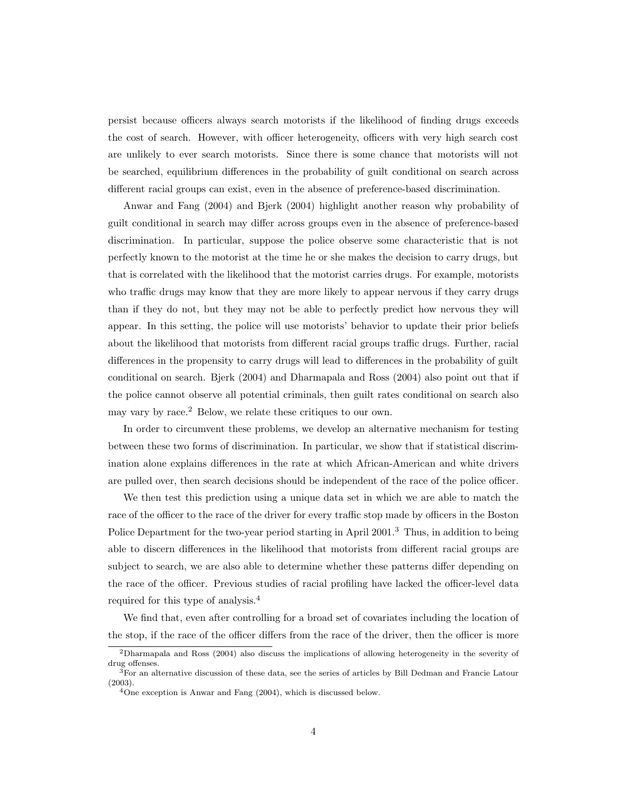persist because officers always search motorists if the likelihood of finding drugs exceeds the cost of search. However, with officer heterogeneity, officers with very high search cost are unlikely to ever search motorists. Since there is some chance that motorists will not be searched, equilibrium differences in the probability of guilt conditional on search across different racial groups can exist, even in the absence of preference-based discrimination.

Anwar and Fang (2004) and Bjerk (2004) highlight another reason why probability of guilt conditional in search may differ across groups even in the absence of preference-based discrimination. In particular, suppose the police observe some characteristic that is not perfectly known to the motorist at the time he or she makes the decision to carry drugs, but that is correlated with the likelihood that the motorist carries drugs. For example, motorists who traffic drugs may know that they are more likely to appear nervous if they carry drugs than if they do not, but they may not be able to perfectly predict how nervous they will appear. In this setting, the police will use motorists' behavior to update their prior beliefs about the likelihood that motorists from different racial groups traffic drugs. Further, racial differences in the propensity to carry drugs will lead to differences in the probability of guilt conditional on search. Bjerk (2004) and Dharmapala and Ross (2004) also point out that if the police cannot observe all potential criminals, then guilt rates conditional on search also may vary by race.<sup>2</sup> Below, we relate these critiques to our own.

In order to circumvent these problems, we develop an alternative mechanism for testing between these two forms of discrimination. In particular, we show that if statistical discrimination alone explains differences in the rate at which African-American and white drivers are pulled over, then search decisions should be independent of the race of the police officer.

We then test this prediction using a unique data set in which we are able to match the race of the officer to the race of the driver for every traffic stop made by officers in the Boston Police Department for the two-year period starting in April 2001.<sup>3</sup> Thus, in addition to being able to discern differences in the likelihood that motorists from different racial groups are subject to search, we are also able to determine whether these patterns differ depending on the race of the officer. Previous studies of racial profiling have lacked the officer-level data required for this type of analysis.<sup>4</sup>

We find that, even after controlling for a broad set of covariates including the location of the stop, if the race of the officer differs from the race of the driver, then the officer is more

<sup>2</sup>Dharmapala and Ross (2004) also discuss the implications of allowing heterogeneity in the severity of drug offenses.

<sup>3</sup>For an alternative discussion of these data, see the series of articles by Bill Dedman and Francie Latour (2003).

 $4$ One exception is Anwar and Fang  $(2004)$ , which is discussed below.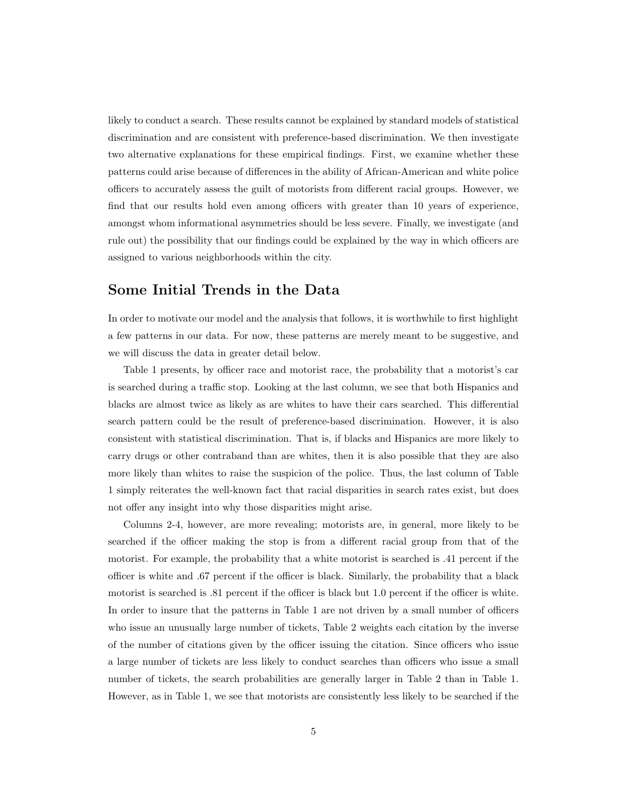likely to conduct a search. These results cannot be explained by standard models of statistical discrimination and are consistent with preference-based discrimination. We then investigate two alternative explanations for these empirical findings. First, we examine whether these patterns could arise because of differences in the ability of African-American and white police officers to accurately assess the guilt of motorists from different racial groups. However, we find that our results hold even among officers with greater than 10 years of experience, amongst whom informational asymmetries should be less severe. Finally, we investigate (and rule out) the possibility that our findings could be explained by the way in which officers are assigned to various neighborhoods within the city.

#### Some Initial Trends in the Data

In order to motivate our model and the analysis that follows, it is worthwhile to first highlight a few patterns in our data. For now, these patterns are merely meant to be suggestive, and we will discuss the data in greater detail below.

Table 1 presents, by officer race and motorist race, the probability that a motorist's car is searched during a traffic stop. Looking at the last column, we see that both Hispanics and blacks are almost twice as likely as are whites to have their cars searched. This differential search pattern could be the result of preference-based discrimination. However, it is also consistent with statistical discrimination. That is, if blacks and Hispanics are more likely to carry drugs or other contraband than are whites, then it is also possible that they are also more likely than whites to raise the suspicion of the police. Thus, the last column of Table 1 simply reiterates the well-known fact that racial disparities in search rates exist, but does not offer any insight into why those disparities might arise.

Columns 2-4, however, are more revealing; motorists are, in general, more likely to be searched if the officer making the stop is from a different racial group from that of the motorist. For example, the probability that a white motorist is searched is .41 percent if the officer is white and .67 percent if the officer is black. Similarly, the probability that a black motorist is searched is .81 percent if the officer is black but 1.0 percent if the officer is white. In order to insure that the patterns in Table 1 are not driven by a small number of officers who issue an unusually large number of tickets, Table 2 weights each citation by the inverse of the number of citations given by the officer issuing the citation. Since officers who issue a large number of tickets are less likely to conduct searches than officers who issue a small number of tickets, the search probabilities are generally larger in Table 2 than in Table 1. However, as in Table 1, we see that motorists are consistently less likely to be searched if the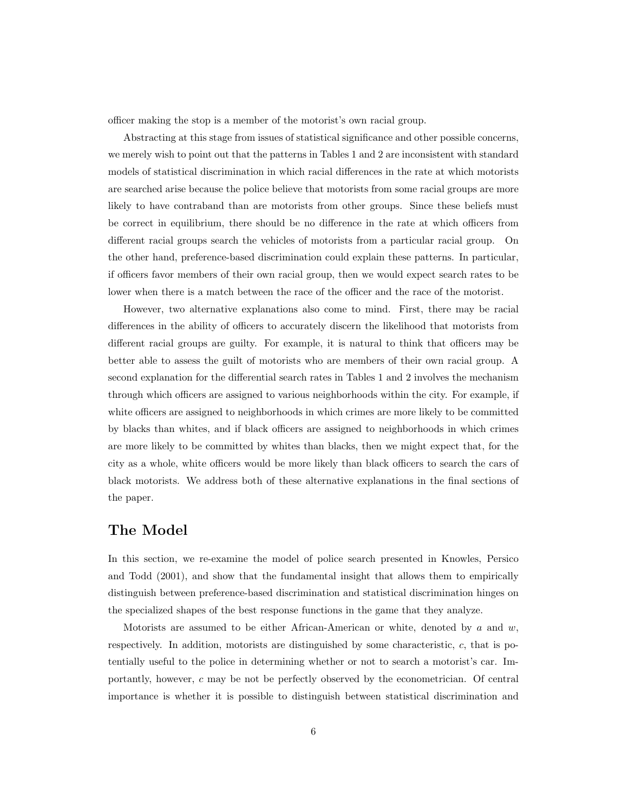officer making the stop is a member of the motorist's own racial group.

Abstracting at this stage from issues of statistical significance and other possible concerns, we merely wish to point out that the patterns in Tables 1 and 2 are inconsistent with standard models of statistical discrimination in which racial differences in the rate at which motorists are searched arise because the police believe that motorists from some racial groups are more likely to have contraband than are motorists from other groups. Since these beliefs must be correct in equilibrium, there should be no difference in the rate at which officers from different racial groups search the vehicles of motorists from a particular racial group. On the other hand, preference-based discrimination could explain these patterns. In particular, if officers favor members of their own racial group, then we would expect search rates to be lower when there is a match between the race of the officer and the race of the motorist.

However, two alternative explanations also come to mind. First, there may be racial differences in the ability of officers to accurately discern the likelihood that motorists from different racial groups are guilty. For example, it is natural to think that officers may be better able to assess the guilt of motorists who are members of their own racial group. A second explanation for the differential search rates in Tables 1 and 2 involves the mechanism through which officers are assigned to various neighborhoods within the city. For example, if white officers are assigned to neighborhoods in which crimes are more likely to be committed by blacks than whites, and if black officers are assigned to neighborhoods in which crimes are more likely to be committed by whites than blacks, then we might expect that, for the city as a whole, white officers would be more likely than black officers to search the cars of black motorists. We address both of these alternative explanations in the final sections of the paper.

#### The Model

In this section, we re-examine the model of police search presented in Knowles, Persico and Todd (2001), and show that the fundamental insight that allows them to empirically distinguish between preference-based discrimination and statistical discrimination hinges on the specialized shapes of the best response functions in the game that they analyze.

Motorists are assumed to be either African-American or white, denoted by a and  $w$ , respectively. In addition, motorists are distinguished by some characteristic,  $c$ , that is potentially useful to the police in determining whether or not to search a motorist's car. Importantly, however, c may be not be perfectly observed by the econometrician. Of central importance is whether it is possible to distinguish between statistical discrimination and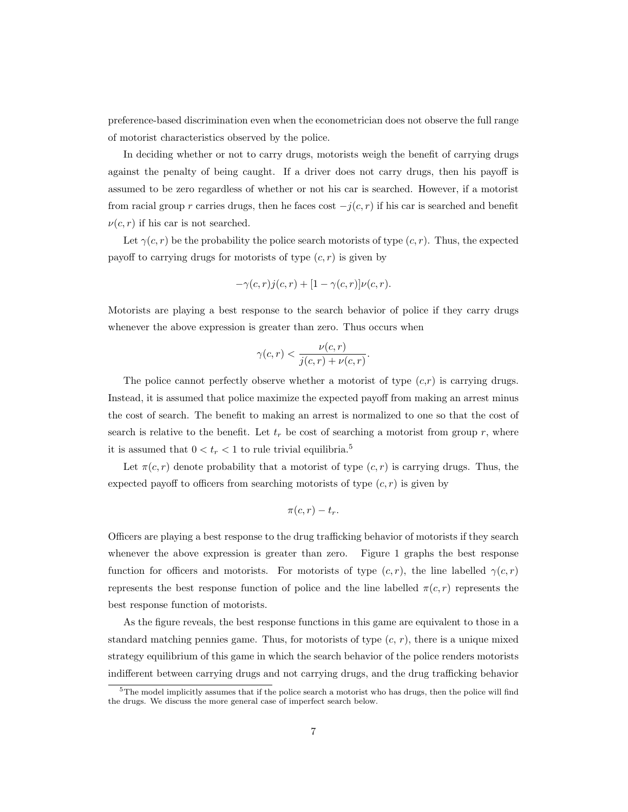preference-based discrimination even when the econometrician does not observe the full range of motorist characteristics observed by the police.

In deciding whether or not to carry drugs, motorists weigh the benefit of carrying drugs against the penalty of being caught. If a driver does not carry drugs, then his payoff is assumed to be zero regardless of whether or not his car is searched. However, if a motorist from racial group r carries drugs, then he faces cost  $-j(c, r)$  if his car is searched and benefit  $\nu(c, r)$  if his car is not searched.

Let  $\gamma(c, r)$  be the probability the police search motorists of type  $(c, r)$ . Thus, the expected payoff to carrying drugs for motorists of type  $(c, r)$  is given by

$$
-\gamma(c,r)j(c,r) + [1-\gamma(c,r)]\nu(c,r).
$$

Motorists are playing a best response to the search behavior of police if they carry drugs whenever the above expression is greater than zero. Thus occurs when

$$
\gamma(c,r) < \frac{\nu(c,r)}{j(c,r) + \nu(c,r)}.
$$

The police cannot perfectly observe whether a motorist of type  $(c,r)$  is carrying drugs. Instead, it is assumed that police maximize the expected payoff from making an arrest minus the cost of search. The benefit to making an arrest is normalized to one so that the cost of search is relative to the benefit. Let  $t_r$  be cost of searching a motorist from group r, where it is assumed that  $0 < t_r < 1$  to rule trivial equilibria.<sup>5</sup>

Let  $\pi(c, r)$  denote probability that a motorist of type  $(c, r)$  is carrying drugs. Thus, the expected payoff to officers from searching motorists of type  $(c, r)$  is given by

$$
\pi(c,r)-t_r.
$$

Officers are playing a best response to the drug trafficking behavior of motorists if they search whenever the above expression is greater than zero. Figure 1 graphs the best response function for officers and motorists. For motorists of type  $(c, r)$ , the line labelled  $\gamma(c, r)$ represents the best response function of police and the line labelled  $\pi(c, r)$  represents the best response function of motorists.

As the figure reveals, the best response functions in this game are equivalent to those in a standard matching pennies game. Thus, for motorists of type  $(c, r)$ , there is a unique mixed strategy equilibrium of this game in which the search behavior of the police renders motorists indifferent between carrying drugs and not carrying drugs, and the drug trafficking behavior

 $5$ The model implicitly assumes that if the police search a motorist who has drugs, then the police will find the drugs. We discuss the more general case of imperfect search below.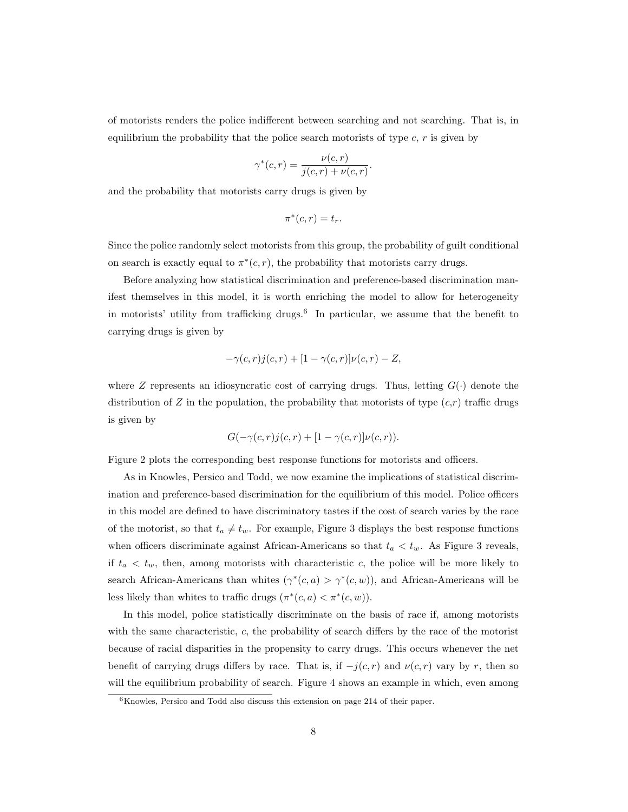of motorists renders the police indifferent between searching and not searching. That is, in equilibrium the probability that the police search motorists of type  $c, r$  is given by

$$
\gamma^*(c,r) = \frac{\nu(c,r)}{j(c,r) + \nu(c,r)}.
$$

and the probability that motorists carry drugs is given by

$$
\pi^*(c, r) = t_r.
$$

Since the police randomly select motorists from this group, the probability of guilt conditional on search is exactly equal to  $\pi^*(c, r)$ , the probability that motorists carry drugs.

Before analyzing how statistical discrimination and preference-based discrimination manifest themselves in this model, it is worth enriching the model to allow for heterogeneity in motorists' utility from trafficking drugs.<sup>6</sup> In particular, we assume that the benefit to carrying drugs is given by

$$
-\gamma(c,r)j(c,r) + [1-\gamma(c,r)]\nu(c,r) - Z,
$$

where Z represents an idiosyncratic cost of carrying drugs. Thus, letting  $G(\cdot)$  denote the distribution of Z in the population, the probability that motorists of type  $(c,r)$  traffic drugs is given by

$$
G(-\gamma(c,r)j(c,r) + [1-\gamma(c,r)]\nu(c,r)).
$$

Figure 2 plots the corresponding best response functions for motorists and officers.

As in Knowles, Persico and Todd, we now examine the implications of statistical discrimination and preference-based discrimination for the equilibrium of this model. Police officers in this model are defined to have discriminatory tastes if the cost of search varies by the race of the motorist, so that  $t_a \neq t_w$ . For example, Figure 3 displays the best response functions when officers discriminate against African-Americans so that  $t_a < t_w$ . As Figure 3 reveals, if  $t_a < t_w$ , then, among motorists with characteristic c, the police will be more likely to search African-Americans than whites  $(\gamma^*(c, a) > \gamma^*(c, w))$ , and African-Americans will be less likely than whites to traffic drugs  $(\pi^*(c, a) < \pi^*(c, w))$ .

In this model, police statistically discriminate on the basis of race if, among motorists with the same characteristic, c, the probability of search differs by the race of the motorist because of racial disparities in the propensity to carry drugs. This occurs whenever the net benefit of carrying drugs differs by race. That is, if  $-j(c,r)$  and  $\nu(c,r)$  vary by r, then so will the equilibrium probability of search. Figure 4 shows an example in which, even among

 $6$ Knowles, Persico and Todd also discuss this extension on page 214 of their paper.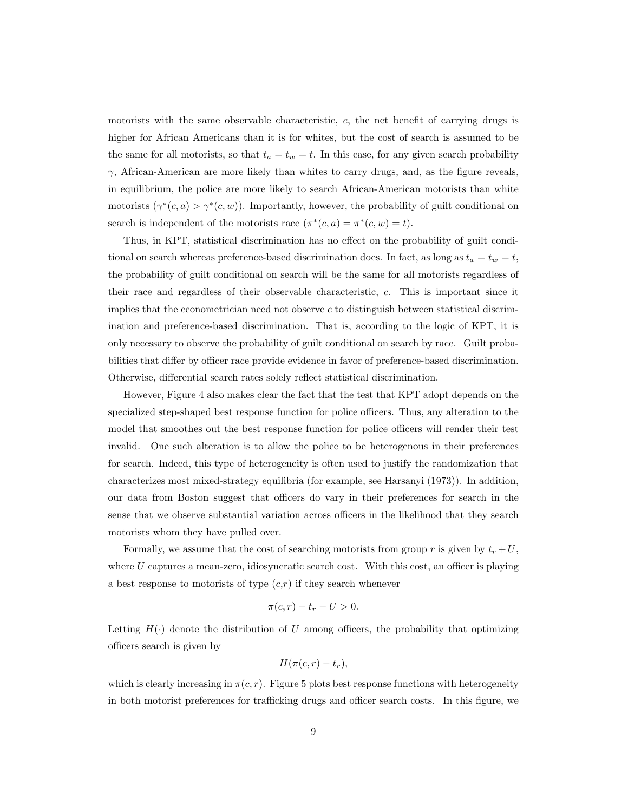motorists with the same observable characteristic, c, the net benefit of carrying drugs is higher for African Americans than it is for whites, but the cost of search is assumed to be the same for all motorists, so that  $t_a = t_w = t$ . In this case, for any given search probability  $\gamma$ , African-American are more likely than whites to carry drugs, and, as the figure reveals, in equilibrium, the police are more likely to search African-American motorists than white motorists  $(\gamma^*(c, a) > \gamma^*(c, w))$ . Importantly, however, the probability of guilt conditional on search is independent of the motorists race  $(\pi^*(c, a) = \pi^*(c, w) = t)$ .

Thus, in KPT, statistical discrimination has no effect on the probability of guilt conditional on search whereas preference-based discrimination does. In fact, as long as  $t_a = t_w = t$ , the probability of guilt conditional on search will be the same for all motorists regardless of their race and regardless of their observable characteristic, c. This is important since it implies that the econometrician need not observe  $c$  to distinguish between statistical discrimination and preference-based discrimination. That is, according to the logic of KPT, it is only necessary to observe the probability of guilt conditional on search by race. Guilt probabilities that differ by officer race provide evidence in favor of preference-based discrimination. Otherwise, differential search rates solely reflect statistical discrimination.

However, Figure 4 also makes clear the fact that the test that KPT adopt depends on the specialized step-shaped best response function for police officers. Thus, any alteration to the model that smoothes out the best response function for police officers will render their test invalid. One such alteration is to allow the police to be heterogenous in their preferences for search. Indeed, this type of heterogeneity is often used to justify the randomization that characterizes most mixed-strategy equilibria (for example, see Harsanyi (1973)). In addition, our data from Boston suggest that officers do vary in their preferences for search in the sense that we observe substantial variation across officers in the likelihood that they search motorists whom they have pulled over.

Formally, we assume that the cost of searching motorists from group r is given by  $t_r + U$ , where  $U$  captures a mean-zero, idiosyncratic search cost. With this cost, an officer is playing a best response to motorists of type  $(c,r)$  if they search whenever

$$
\pi(c,r) - t_r - U > 0.
$$

Letting  $H(\cdot)$  denote the distribution of U among officers, the probability that optimizing officers search is given by

$$
H(\pi(c,r)-t_r),
$$

which is clearly increasing in  $\pi(c, r)$ . Figure 5 plots best response functions with heterogeneity in both motorist preferences for trafficking drugs and officer search costs. In this figure, we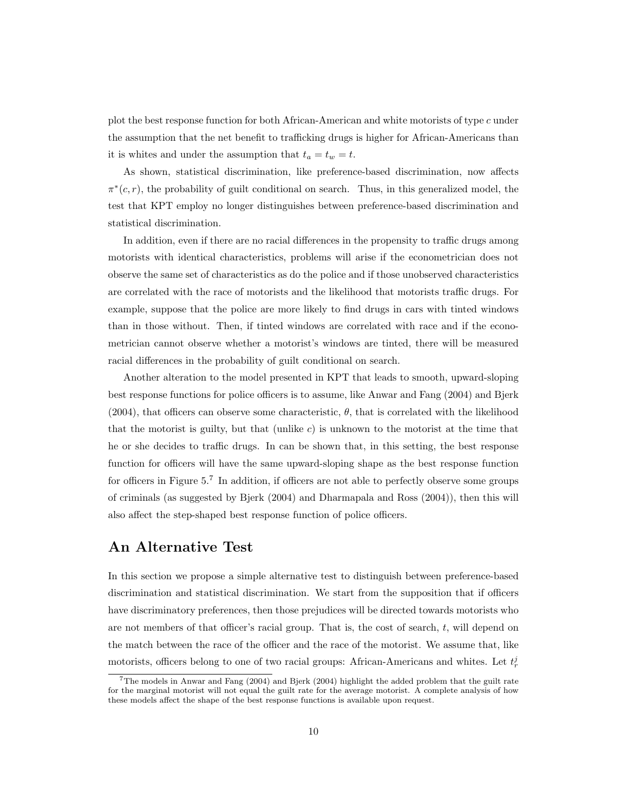plot the best response function for both African-American and white motorists of type c under the assumption that the net benefit to trafficking drugs is higher for African-Americans than it is whites and under the assumption that  $t_a = t_w = t$ .

As shown, statistical discrimination, like preference-based discrimination, now affects  $\pi^*(c, r)$ , the probability of guilt conditional on search. Thus, in this generalized model, the test that KPT employ no longer distinguishes between preference-based discrimination and statistical discrimination.

In addition, even if there are no racial differences in the propensity to traffic drugs among motorists with identical characteristics, problems will arise if the econometrician does not observe the same set of characteristics as do the police and if those unobserved characteristics are correlated with the race of motorists and the likelihood that motorists traffic drugs. For example, suppose that the police are more likely to find drugs in cars with tinted windows than in those without. Then, if tinted windows are correlated with race and if the econometrician cannot observe whether a motorist's windows are tinted, there will be measured racial differences in the probability of guilt conditional on search.

Another alteration to the model presented in KPT that leads to smooth, upward-sloping best response functions for police officers is to assume, like Anwar and Fang (2004) and Bjerk (2004), that officers can observe some characteristic,  $\theta$ , that is correlated with the likelihood that the motorist is guilty, but that (unlike  $c$ ) is unknown to the motorist at the time that he or she decides to traffic drugs. In can be shown that, in this setting, the best response function for officers will have the same upward-sloping shape as the best response function for officers in Figure 5.<sup>7</sup> In addition, if officers are not able to perfectly observe some groups of criminals (as suggested by Bjerk (2004) and Dharmapala and Ross (2004)), then this will also affect the step-shaped best response function of police officers.

#### An Alternative Test

In this section we propose a simple alternative test to distinguish between preference-based discrimination and statistical discrimination. We start from the supposition that if officers have discriminatory preferences, then those prejudices will be directed towards motorists who are not members of that officer's racial group. That is, the cost of search,  $t$ , will depend on the match between the race of the officer and the race of the motorist. We assume that, like motorists, officers belong to one of two racial groups: African-Americans and whites. Let  $t_r^j$ 

<sup>7</sup>The models in Anwar and Fang (2004) and Bjerk (2004) highlight the added problem that the guilt rate for the marginal motorist will not equal the guilt rate for the average motorist. A complete analysis of how these models affect the shape of the best response functions is available upon request.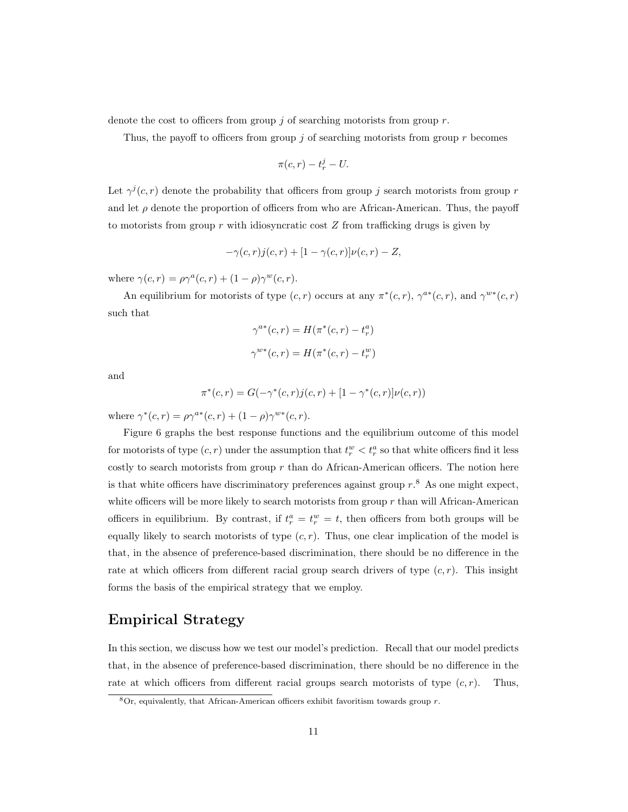denote the cost to officers from group j of searching motorists from group  $r$ .

Thus, the payoff to officers from group  $\dot{\eta}$  of searching motorists from group r becomes

$$
\pi(c,r)-t_r^j-U.
$$

Let  $\gamma^{j}(c, r)$  denote the probability that officers from group j search motorists from group r and let  $\rho$  denote the proportion of officers from who are African-American. Thus, the payoff to motorists from group  $r$  with idiosyncratic cost  $Z$  from trafficking drugs is given by

$$
-\gamma(c,r)j(c,r) + [1-\gamma(c,r)]\nu(c,r) - Z,
$$

where  $\gamma(c,r) = \rho \gamma^a(c,r) + (1-\rho) \gamma^w(c,r)$ .

An equilibrium for motorists of type  $(c, r)$  occurs at any  $\pi^*(c, r)$ ,  $\gamma^{a*}(c, r)$ , and  $\gamma^{w*}(c, r)$ such that

$$
\gamma^{a*}(c,r) = H(\pi^*(c,r) - t_r^a)
$$
  

$$
\gamma^{w*}(c,r) = H(\pi^*(c,r) - t_r^w)
$$

and

$$
\pi^*(c,r) = G(-\gamma^*(c,r)j(c,r) + [1 - \gamma^*(c,r)]\nu(c,r))
$$

where  $\gamma^*(c, r) = \rho \gamma^{a*}(c, r) + (1 - \rho) \gamma^{w*}(c, r)$ .

Figure 6 graphs the best response functions and the equilibrium outcome of this model for motorists of type  $(c, r)$  under the assumption that  $t_r^w < t_r^a$  so that white officers find it less costly to search motorists from group  $r$  than do African-American officers. The notion here is that white officers have discriminatory preferences against group  $r$ .<sup>8</sup> As one might expect, white officers will be more likely to search motorists from group  $r$  than will African-American officers in equilibrium. By contrast, if  $t_r^a = t_r^w = t$ , then officers from both groups will be equally likely to search motorists of type  $(c, r)$ . Thus, one clear implication of the model is that, in the absence of preference-based discrimination, there should be no difference in the rate at which officers from different racial group search drivers of type  $(c, r)$ . This insight forms the basis of the empirical strategy that we employ.

### Empirical Strategy

In this section, we discuss how we test our model's prediction. Recall that our model predicts that, in the absence of preference-based discrimination, there should be no difference in the rate at which officers from different racial groups search motorists of type  $(c, r)$ . Thus,

 $8$ Or, equivalently, that African-American officers exhibit favoritism towards group r.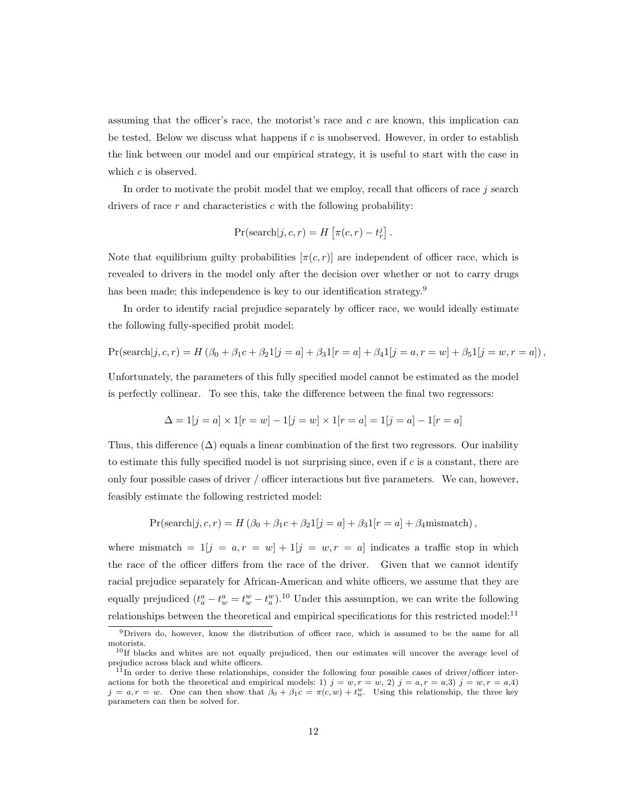assuming that the officer's race, the motorist's race and  $c$  are known, this implication can be tested. Below we discuss what happens if  $c$  is unobserved. However, in order to establish the link between our model and our empirical strategy, it is useful to start with the case in which c is observed.

In order to motivate the probit model that we employ, recall that officers of race  $j$  search drivers of race  $r$  and characteristics  $c$  with the following probability:

$$
Pr(search|j, c, r) = H\left[\pi(c, r) - t_r^j\right].
$$

Note that equilibrium guilty probabilities  $[\pi(c, r)]$  are independent of officer race, which is revealed to drivers in the model only after the decision over whether or not to carry drugs has been made; this independence is key to our identification strategy.<sup>9</sup>

In order to identify racial prejudice separately by officer race, we would ideally estimate the following fully-specified probit model:

$$
Pr(search|j, c, r) = H(\beta_0 + \beta_1 c + \beta_2 1[j = a] + \beta_3 1[r = a] + \beta_4 1[j = a, r = w] + \beta_5 1[j = w, r = a]),
$$

Unfortunately, the parameters of this fully specified model cannot be estimated as the model is perfectly collinear. To see this, take the difference between the final two regressors:

$$
\Delta = 1[j = a] \times 1[r = w] - 1[j = w] \times 1[r = a] = 1[j = a] - 1[r = a]
$$

Thus, this difference  $(\Delta)$  equals a linear combination of the first two regressors. Our inability to estimate this fully specified model is not surprising since, even if  $c$  is a constant, there are only four possible cases of driver / officer interactions but five parameters. We can, however, feasibly estimate the following restricted model:

$$
Pr(search|j, c, r) = H(\beta_0 + \beta_1 c + \beta_2 1[j = a] + \beta_3 1[r = a] + \beta_4 mismatch),
$$

where mismatch =  $1[j = a, r = w] + 1[j = w, r = a]$  indicates a traffic stop in which the race of the officer differs from the race of the driver. Given that we cannot identify racial prejudice separately for African-American and white officers, we assume that they are equally prejudiced  $(t_a^a - t_w^a = t_w^w - t_a^w)$ .<sup>10</sup> Under this assumption, we can write the following relationships between the theoretical and empirical specifications for this restricted model:<sup>11</sup>

<sup>9</sup>Drivers do, however, know the distribution of officer race, which is assumed to be the same for all motorists.

<sup>10</sup>If blacks and whites are not equally prejudiced, then our estimates will uncover the average level of prejudice across black and white officers.

 $11$ In order to derive these relationships, consider the following four possible cases of driver/officer interactions for both the theoretical and empirical models: 1)  $j = w, r = w, 2$   $j = a, r = a, 3$   $j = w, r = a, 4$  $j = a, r = w$ . One can then show that  $\beta_0 + \beta_1 c = \pi(c, w) + t_w^w$ . Using this relationship, the three key parameters can then be solved for.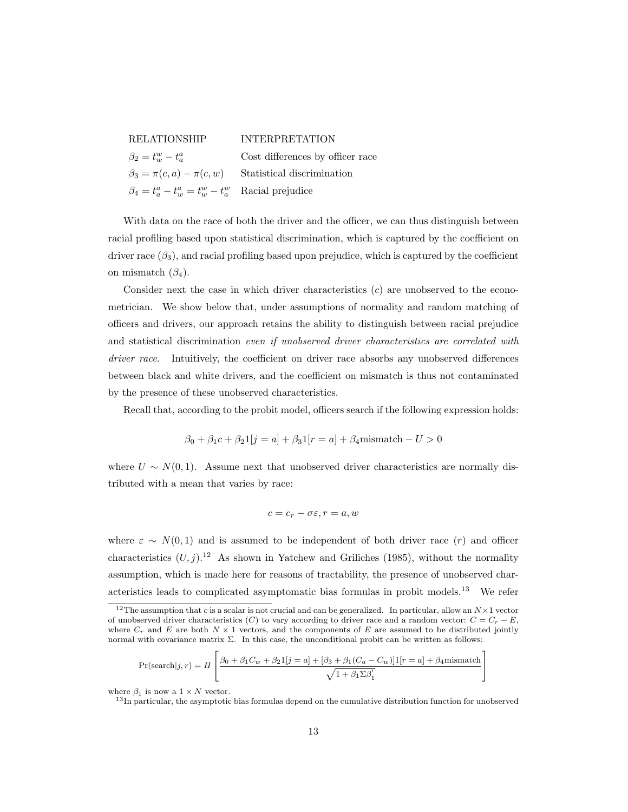| <b>RELATIONSHIP</b>                                        | <b>INTERPRETATION</b>            |
|------------------------------------------------------------|----------------------------------|
| $\beta_2 = t_w^w - t_a^a$                                  | Cost differences by officer race |
| $\beta_3 = \pi(c, a) - \pi(c, w)$                          | Statistical discrimination       |
| $\beta_4 = t_a^a - t_w^a = t_w^w - t_a^w$ Racial prejudice |                                  |

With data on the race of both the driver and the officer, we can thus distinguish between racial profiling based upon statistical discrimination, which is captured by the coefficient on driver race  $(\beta_3)$ , and racial profiling based upon prejudice, which is captured by the coefficient on mismatch  $(\beta_4)$ .

Consider next the case in which driver characteristics  $(c)$  are unobserved to the econometrician. We show below that, under assumptions of normality and random matching of officers and drivers, our approach retains the ability to distinguish between racial prejudice and statistical discrimination even if unobserved driver characteristics are correlated with driver race. Intuitively, the coefficient on driver race absorbs any unobserved differences between black and white drivers, and the coefficient on mismatch is thus not contaminated by the presence of these unobserved characteristics.

Recall that, according to the probit model, officers search if the following expression holds:

$$
\beta_0 + \beta_1 c + \beta_2 1[j = a] + \beta_3 1[r = a] + \beta_4
$$
 mismatch –  $U > 0$ 

where  $U \sim N(0, 1)$ . Assume next that unobserved driver characteristics are normally distributed with a mean that varies by race:

$$
c = c_r - \sigma \varepsilon, r = a, w
$$

where  $\varepsilon \sim N(0, 1)$  and is assumed to be independent of both driver race (r) and officer characteristics  $(U, j)$ .<sup>12</sup> As shown in Yatchew and Griliches (1985), without the normality assumption, which is made here for reasons of tractability, the presence of unobserved characteristics leads to complicated asymptomatic bias formulas in probit models.<sup>13</sup> We refer

$$
\Pr(\text{search}|j, r) = H \left[ \frac{\beta_0 + \beta_1 C_w + \beta_2 1[j = a] + [\beta_3 + \beta_1 (C_a - C_w)] 1[r = a] + \beta_4 \text{mismatch}}{\sqrt{1 + \beta_1 \Sigma \beta'_1}}
$$

where  $\beta_1$  is now a  $1 \times N$  vector.

<sup>13</sup>In particular, the asymptotic bias formulas depend on the cumulative distribution function for unobserved

1

<sup>&</sup>lt;sup>12</sup>The assumption that c is a scalar is not crucial and can be generalized. In particular, allow an  $N \times 1$  vector of unobserved driver characteristics (C) to vary according to driver race and a random vector:  $C = C<sub>r</sub> - E$ , where  $C_r$  and E are both  $N \times 1$  vectors, and the components of E are assumed to be distributed jointly normal with covariance matrix Σ. In this case, the unconditional probit can be written as follows: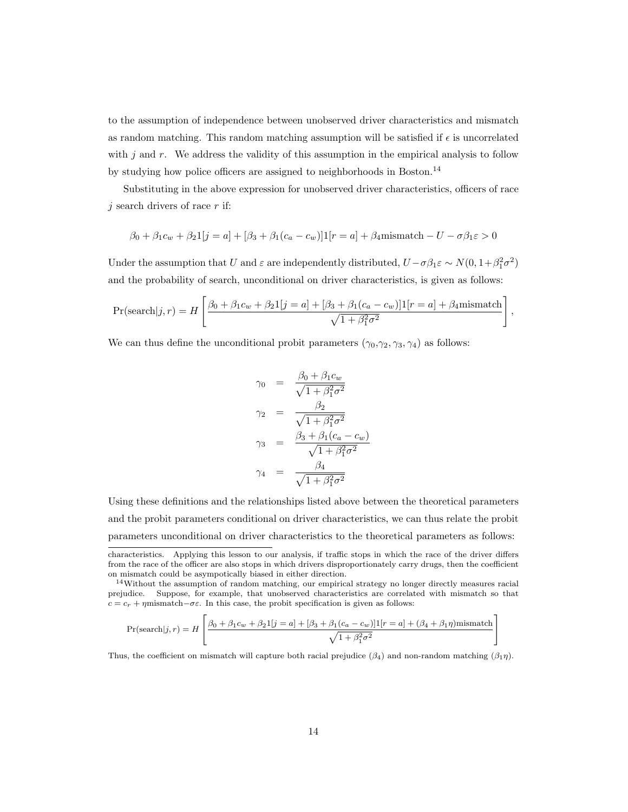to the assumption of independence between unobserved driver characteristics and mismatch as random matching. This random matching assumption will be satisfied if  $\epsilon$  is uncorrelated with  $j$  and  $r$ . We address the validity of this assumption in the empirical analysis to follow by studying how police officers are assigned to neighborhoods in Boston.<sup>14</sup>

Substituting in the above expression for unobserved driver characteristics, officers of race  $j$  search drivers of race r if:

$$
\beta_0 + \beta_1 c_w + \beta_2 1[j = a] + [\beta_3 + \beta_1 (c_a - c_w)]1[r = a] + \beta_4
$$
 mismatch –  $U - \sigma \beta_1 \varepsilon > 0$ 

Under the assumption that U and  $\varepsilon$  are independently distributed,  $U-\sigma\beta_1\varepsilon \sim N(0, 1+\beta_1^2\sigma^2)$ and the probability of search, unconditional on driver characteristics, is given as follows:

$$
\Pr(\text{search}|j, r) = H\left[\frac{\beta_0 + \beta_1 c_w + \beta_2 1[j = a] + [\beta_3 + \beta_1 (c_a - c_w)] 1[r = a] + \beta_4 \text{mismatch}}{\sqrt{1 + \beta_1^2 \sigma^2}}\right],
$$

We can thus define the unconditional probit parameters  $(\gamma_0, \gamma_2, \gamma_3, \gamma_4)$  as follows:

$$
\gamma_0 = \frac{\beta_0 + \beta_1 c_w}{\sqrt{1 + \beta_1^2 \sigma^2}}
$$

$$
\gamma_2 = \frac{\beta_2}{\sqrt{1 + \beta_1^2 \sigma^2}}
$$

$$
\gamma_3 = \frac{\beta_3 + \beta_1 (c_a - c_w)}{\sqrt{1 + \beta_1^2 \sigma^2}}
$$

$$
\gamma_4 = \frac{\beta_4}{\sqrt{1 + \beta_1^2 \sigma^2}}
$$

Using these definitions and the relationships listed above between the theoretical parameters and the probit parameters conditional on driver characteristics, we can thus relate the probit parameters unconditional on driver characteristics to the theoretical parameters as follows:

1

$$
\Pr(\text{search}|j, r) = H \left[ \frac{\beta_0 + \beta_1 c_w + \beta_2 1[j = a] + [\beta_3 + \beta_1 (c_a - c_w)] \mathbf{1}[r = a] + (\beta_4 + \beta_1 \eta) \text{mismatch}}{\sqrt{1 + \beta_1^2 \sigma^2}} \right]
$$

Thus, the coefficient on mismatch will capture both racial prejudice  $(\beta_4)$  and non-random matching  $(\beta_1 \eta)$ .

characteristics. Applying this lesson to our analysis, if traffic stops in which the race of the driver differs from the race of the officer are also stops in which drivers disproportionately carry drugs, then the coefficient on mismatch could be asympotically biased in either direction.

<sup>14</sup>Without the assumption of random matching, our empirical strategy no longer directly measures racial prejudice. Suppose, for example, that unobserved characteristics are correlated with mismatch so that  $c = c_r + \eta$ mismatch–σε. In this case, the probit specification is given as follows: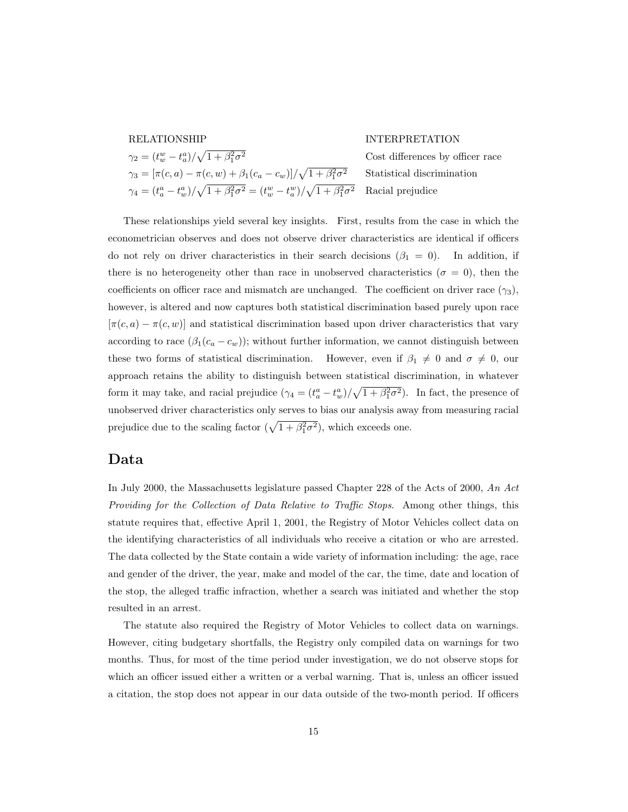|  | $\gamma_2=(t_w^w-t_a^a)/\sqrt{1+\beta_1^2\sigma^2}$                                          |
|--|----------------------------------------------------------------------------------------------|
|  | $\gamma_3 = [\pi(c, a) - \pi(c, w) + \beta_1(c_a - c_w)] / \sqrt{1 + \beta_1^2 \sigma^2}$    |
|  | $\gamma_4=(t^a_a-t^a_w)/\sqrt{1+\beta^2_1\sigma^2}=(t^w_w-t^w_a)/\sqrt{1+\beta^2_1\sigma^2}$ |

#### RELATIONSHIP INTERPRETATION

Cost differences by officer race <sup>2</sup> Statistical discrimination  $\overline{r^2}$  Racial prejudice

These relationships yield several key insights. First, results from the case in which the econometrician observes and does not observe driver characteristics are identical if officers do not rely on driver characteristics in their search decisions  $(\beta_1 = 0)$ . In addition, if there is no heterogeneity other than race in unobserved characteristics ( $\sigma = 0$ ), then the coefficients on officer race and mismatch are unchanged. The coefficient on driver race  $(\gamma_3)$ , however, is altered and now captures both statistical discrimination based purely upon race  $[\pi(c, a) - \pi(c, w)]$  and statistical discrimination based upon driver characteristics that vary according to race  $(\beta_1(c_a - c_w))$ ; without further information, we cannot distinguish between these two forms of statistical discrimination. However, even if  $\beta_1 \neq 0$  and  $\sigma \neq 0$ , our approach retains the ability to distinguish between statistical discrimination, in whatever form it may take, and racial prejudice  $(\gamma_4 = (t_a^a - t_w^a)/\sqrt{1 + \beta_1^2 \sigma^2})$ . In fact, the presence of unobserved driver characteristics only serves to bias our analysis away from measuring racial prejudice due to the scaling factor  $(\sqrt{1 + \beta_1^2 \sigma^2})$ , which exceeds one.

#### Data

In July 2000, the Massachusetts legislature passed Chapter 228 of the Acts of 2000, An Act Providing for the Collection of Data Relative to Traffic Stops. Among other things, this statute requires that, effective April 1, 2001, the Registry of Motor Vehicles collect data on the identifying characteristics of all individuals who receive a citation or who are arrested. The data collected by the State contain a wide variety of information including: the age, race and gender of the driver, the year, make and model of the car, the time, date and location of the stop, the alleged traffic infraction, whether a search was initiated and whether the stop resulted in an arrest.

The statute also required the Registry of Motor Vehicles to collect data on warnings. However, citing budgetary shortfalls, the Registry only compiled data on warnings for two months. Thus, for most of the time period under investigation, we do not observe stops for which an officer issued either a written or a verbal warning. That is, unless an officer issued a citation, the stop does not appear in our data outside of the two-month period. If officers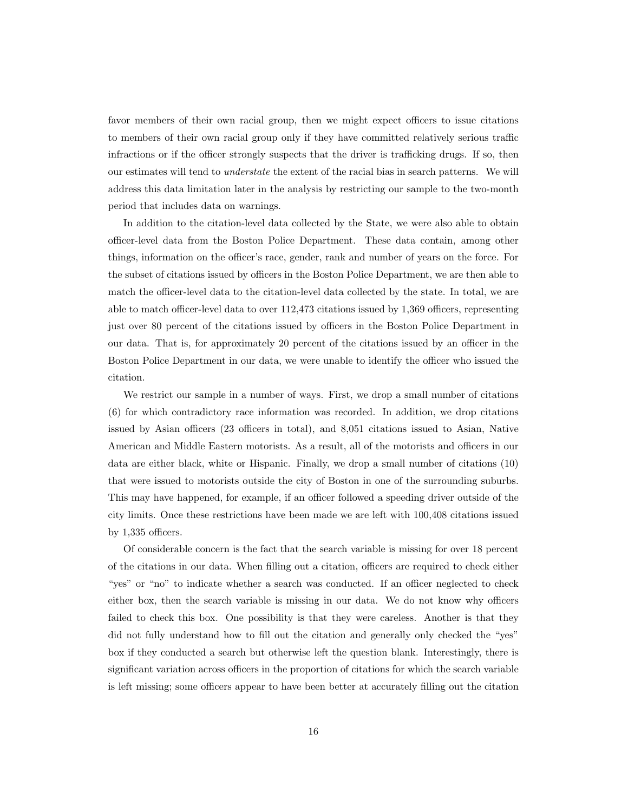favor members of their own racial group, then we might expect officers to issue citations to members of their own racial group only if they have committed relatively serious traffic infractions or if the officer strongly suspects that the driver is trafficking drugs. If so, then our estimates will tend to understate the extent of the racial bias in search patterns. We will address this data limitation later in the analysis by restricting our sample to the two-month period that includes data on warnings.

In addition to the citation-level data collected by the State, we were also able to obtain officer-level data from the Boston Police Department. These data contain, among other things, information on the officer's race, gender, rank and number of years on the force. For the subset of citations issued by officers in the Boston Police Department, we are then able to match the officer-level data to the citation-level data collected by the state. In total, we are able to match officer-level data to over 112,473 citations issued by 1,369 officers, representing just over 80 percent of the citations issued by officers in the Boston Police Department in our data. That is, for approximately 20 percent of the citations issued by an officer in the Boston Police Department in our data, we were unable to identify the officer who issued the citation.

We restrict our sample in a number of ways. First, we drop a small number of citations (6) for which contradictory race information was recorded. In addition, we drop citations issued by Asian officers (23 officers in total), and 8,051 citations issued to Asian, Native American and Middle Eastern motorists. As a result, all of the motorists and officers in our data are either black, white or Hispanic. Finally, we drop a small number of citations (10) that were issued to motorists outside the city of Boston in one of the surrounding suburbs. This may have happened, for example, if an officer followed a speeding driver outside of the city limits. Once these restrictions have been made we are left with 100,408 citations issued by 1,335 officers.

Of considerable concern is the fact that the search variable is missing for over 18 percent of the citations in our data. When filling out a citation, officers are required to check either "yes" or "no" to indicate whether a search was conducted. If an officer neglected to check either box, then the search variable is missing in our data. We do not know why officers failed to check this box. One possibility is that they were careless. Another is that they did not fully understand how to fill out the citation and generally only checked the "yes" box if they conducted a search but otherwise left the question blank. Interestingly, there is significant variation across officers in the proportion of citations for which the search variable is left missing; some officers appear to have been better at accurately filling out the citation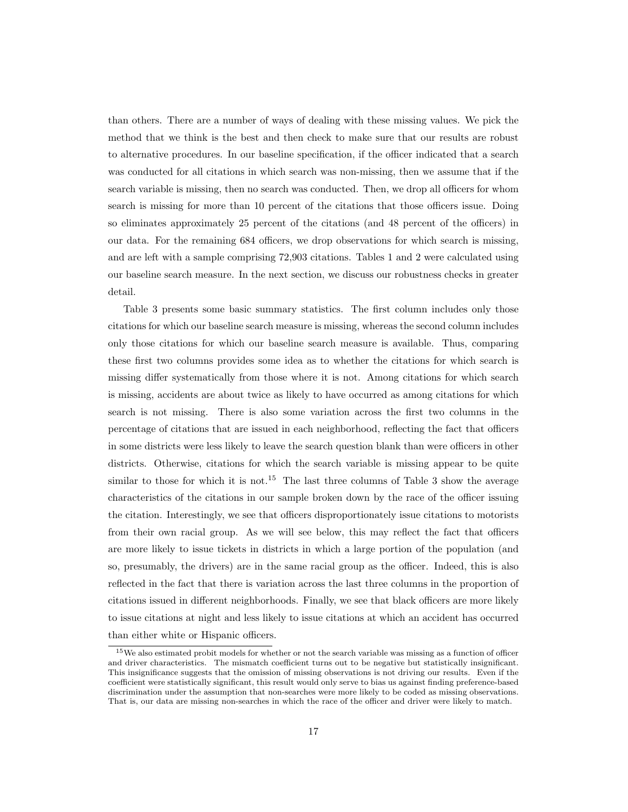than others. There are a number of ways of dealing with these missing values. We pick the method that we think is the best and then check to make sure that our results are robust to alternative procedures. In our baseline specification, if the officer indicated that a search was conducted for all citations in which search was non-missing, then we assume that if the search variable is missing, then no search was conducted. Then, we drop all officers for whom search is missing for more than 10 percent of the citations that those officers issue. Doing so eliminates approximately 25 percent of the citations (and 48 percent of the officers) in our data. For the remaining 684 officers, we drop observations for which search is missing, and are left with a sample comprising 72,903 citations. Tables 1 and 2 were calculated using our baseline search measure. In the next section, we discuss our robustness checks in greater detail.

Table 3 presents some basic summary statistics. The first column includes only those citations for which our baseline search measure is missing, whereas the second column includes only those citations for which our baseline search measure is available. Thus, comparing these first two columns provides some idea as to whether the citations for which search is missing differ systematically from those where it is not. Among citations for which search is missing, accidents are about twice as likely to have occurred as among citations for which search is not missing. There is also some variation across the first two columns in the percentage of citations that are issued in each neighborhood, reflecting the fact that officers in some districts were less likely to leave the search question blank than were officers in other districts. Otherwise, citations for which the search variable is missing appear to be quite similar to those for which it is not.<sup>15</sup> The last three columns of Table 3 show the average characteristics of the citations in our sample broken down by the race of the officer issuing the citation. Interestingly, we see that officers disproportionately issue citations to motorists from their own racial group. As we will see below, this may reflect the fact that officers are more likely to issue tickets in districts in which a large portion of the population (and so, presumably, the drivers) are in the same racial group as the officer. Indeed, this is also reflected in the fact that there is variation across the last three columns in the proportion of citations issued in different neighborhoods. Finally, we see that black officers are more likely to issue citations at night and less likely to issue citations at which an accident has occurred than either white or Hispanic officers.

<sup>&</sup>lt;sup>15</sup>We also estimated probit models for whether or not the search variable was missing as a function of officer and driver characteristics. The mismatch coefficient turns out to be negative but statistically insignificant. This insignificance suggests that the omission of missing observations is not driving our results. Even if the coefficient were statistically significant, this result would only serve to bias us against finding preference-based discrimination under the assumption that non-searches were more likely to be coded as missing observations. That is, our data are missing non-searches in which the race of the officer and driver were likely to match.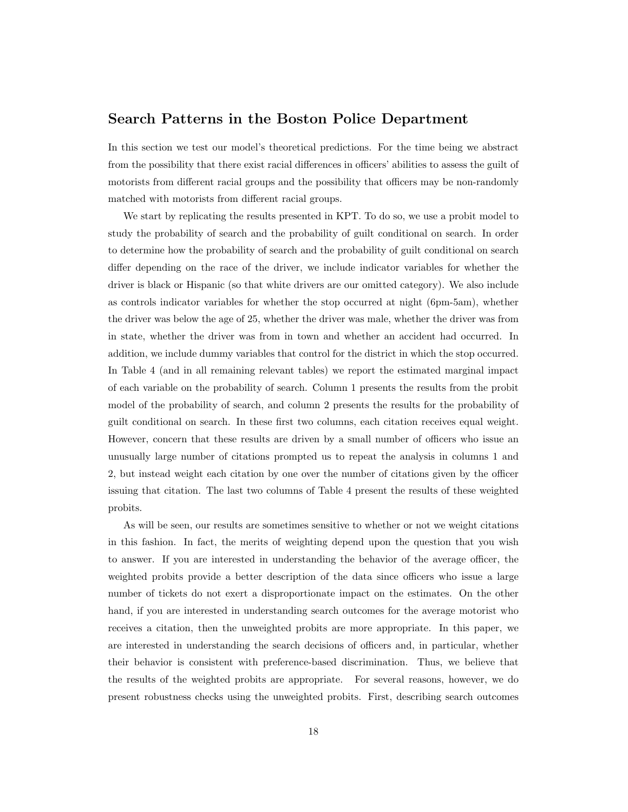#### Search Patterns in the Boston Police Department

In this section we test our model's theoretical predictions. For the time being we abstract from the possibility that there exist racial differences in officers' abilities to assess the guilt of motorists from different racial groups and the possibility that officers may be non-randomly matched with motorists from different racial groups.

We start by replicating the results presented in KPT. To do so, we use a probit model to study the probability of search and the probability of guilt conditional on search. In order to determine how the probability of search and the probability of guilt conditional on search differ depending on the race of the driver, we include indicator variables for whether the driver is black or Hispanic (so that white drivers are our omitted category). We also include as controls indicator variables for whether the stop occurred at night (6pm-5am), whether the driver was below the age of 25, whether the driver was male, whether the driver was from in state, whether the driver was from in town and whether an accident had occurred. In addition, we include dummy variables that control for the district in which the stop occurred. In Table 4 (and in all remaining relevant tables) we report the estimated marginal impact of each variable on the probability of search. Column 1 presents the results from the probit model of the probability of search, and column 2 presents the results for the probability of guilt conditional on search. In these first two columns, each citation receives equal weight. However, concern that these results are driven by a small number of officers who issue an unusually large number of citations prompted us to repeat the analysis in columns 1 and 2, but instead weight each citation by one over the number of citations given by the officer issuing that citation. The last two columns of Table 4 present the results of these weighted probits.

As will be seen, our results are sometimes sensitive to whether or not we weight citations in this fashion. In fact, the merits of weighting depend upon the question that you wish to answer. If you are interested in understanding the behavior of the average officer, the weighted probits provide a better description of the data since officers who issue a large number of tickets do not exert a disproportionate impact on the estimates. On the other hand, if you are interested in understanding search outcomes for the average motorist who receives a citation, then the unweighted probits are more appropriate. In this paper, we are interested in understanding the search decisions of officers and, in particular, whether their behavior is consistent with preference-based discrimination. Thus, we believe that the results of the weighted probits are appropriate. For several reasons, however, we do present robustness checks using the unweighted probits. First, describing search outcomes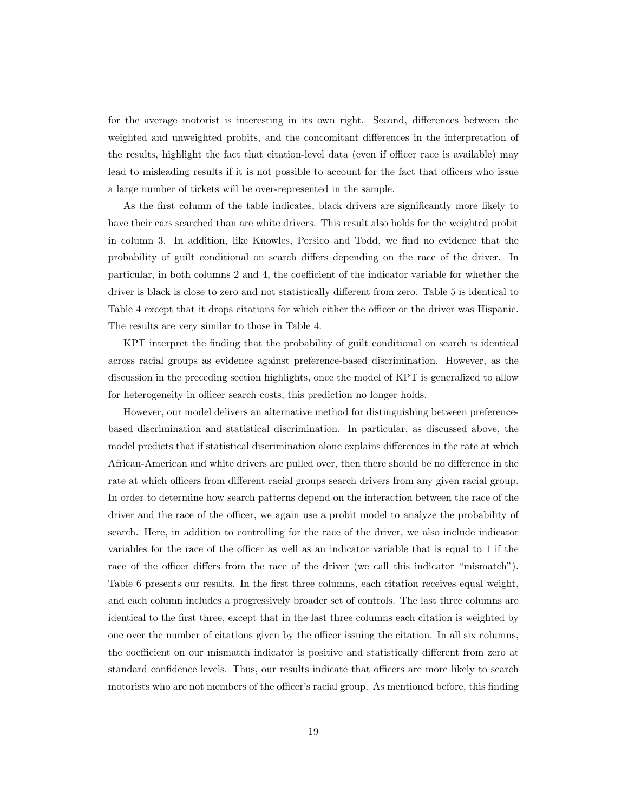for the average motorist is interesting in its own right. Second, differences between the weighted and unweighted probits, and the concomitant differences in the interpretation of the results, highlight the fact that citation-level data (even if officer race is available) may lead to misleading results if it is not possible to account for the fact that officers who issue a large number of tickets will be over-represented in the sample.

As the first column of the table indicates, black drivers are significantly more likely to have their cars searched than are white drivers. This result also holds for the weighted probit in column 3. In addition, like Knowles, Persico and Todd, we find no evidence that the probability of guilt conditional on search differs depending on the race of the driver. In particular, in both columns 2 and 4, the coefficient of the indicator variable for whether the driver is black is close to zero and not statistically different from zero. Table 5 is identical to Table 4 except that it drops citations for which either the officer or the driver was Hispanic. The results are very similar to those in Table 4.

KPT interpret the finding that the probability of guilt conditional on search is identical across racial groups as evidence against preference-based discrimination. However, as the discussion in the preceding section highlights, once the model of KPT is generalized to allow for heterogeneity in officer search costs, this prediction no longer holds.

However, our model delivers an alternative method for distinguishing between preferencebased discrimination and statistical discrimination. In particular, as discussed above, the model predicts that if statistical discrimination alone explains differences in the rate at which African-American and white drivers are pulled over, then there should be no difference in the rate at which officers from different racial groups search drivers from any given racial group. In order to determine how search patterns depend on the interaction between the race of the driver and the race of the officer, we again use a probit model to analyze the probability of search. Here, in addition to controlling for the race of the driver, we also include indicator variables for the race of the officer as well as an indicator variable that is equal to 1 if the race of the officer differs from the race of the driver (we call this indicator "mismatch"). Table 6 presents our results. In the first three columns, each citation receives equal weight, and each column includes a progressively broader set of controls. The last three columns are identical to the first three, except that in the last three columns each citation is weighted by one over the number of citations given by the officer issuing the citation. In all six columns, the coefficient on our mismatch indicator is positive and statistically different from zero at standard confidence levels. Thus, our results indicate that officers are more likely to search motorists who are not members of the officer's racial group. As mentioned before, this finding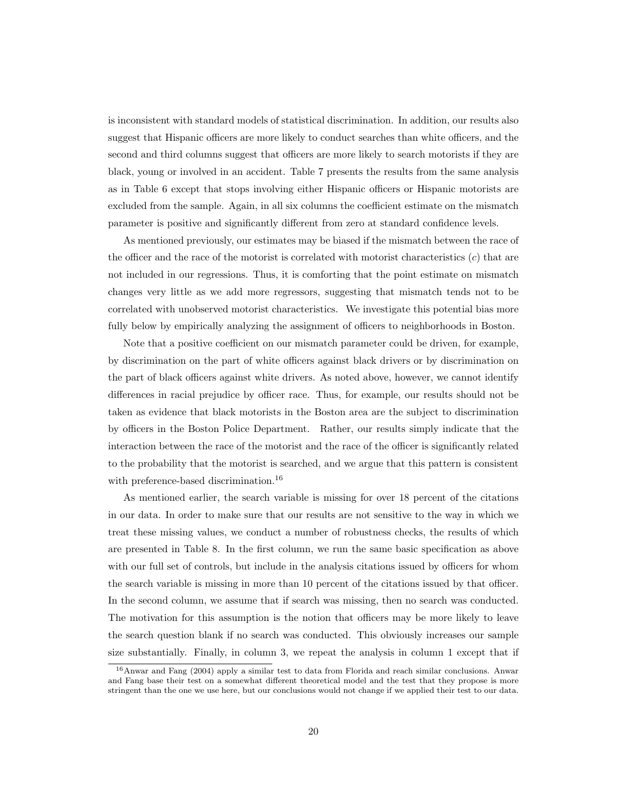is inconsistent with standard models of statistical discrimination. In addition, our results also suggest that Hispanic officers are more likely to conduct searches than white officers, and the second and third columns suggest that officers are more likely to search motorists if they are black, young or involved in an accident. Table 7 presents the results from the same analysis as in Table 6 except that stops involving either Hispanic officers or Hispanic motorists are excluded from the sample. Again, in all six columns the coefficient estimate on the mismatch parameter is positive and significantly different from zero at standard confidence levels.

As mentioned previously, our estimates may be biased if the mismatch between the race of the officer and the race of the motorist is correlated with motorist characteristics  $(c)$  that are not included in our regressions. Thus, it is comforting that the point estimate on mismatch changes very little as we add more regressors, suggesting that mismatch tends not to be correlated with unobserved motorist characteristics. We investigate this potential bias more fully below by empirically analyzing the assignment of officers to neighborhoods in Boston.

Note that a positive coefficient on our mismatch parameter could be driven, for example, by discrimination on the part of white officers against black drivers or by discrimination on the part of black officers against white drivers. As noted above, however, we cannot identify differences in racial prejudice by officer race. Thus, for example, our results should not be taken as evidence that black motorists in the Boston area are the subject to discrimination by officers in the Boston Police Department. Rather, our results simply indicate that the interaction between the race of the motorist and the race of the officer is significantly related to the probability that the motorist is searched, and we argue that this pattern is consistent with preference-based discrimination.<sup>16</sup>

As mentioned earlier, the search variable is missing for over 18 percent of the citations in our data. In order to make sure that our results are not sensitive to the way in which we treat these missing values, we conduct a number of robustness checks, the results of which are presented in Table 8. In the first column, we run the same basic specification as above with our full set of controls, but include in the analysis citations issued by officers for whom the search variable is missing in more than 10 percent of the citations issued by that officer. In the second column, we assume that if search was missing, then no search was conducted. The motivation for this assumption is the notion that officers may be more likely to leave the search question blank if no search was conducted. This obviously increases our sample size substantially. Finally, in column 3, we repeat the analysis in column 1 except that if

<sup>16</sup>Anwar and Fang (2004) apply a similar test to data from Florida and reach similar conclusions. Anwar and Fang base their test on a somewhat different theoretical model and the test that they propose is more stringent than the one we use here, but our conclusions would not change if we applied their test to our data.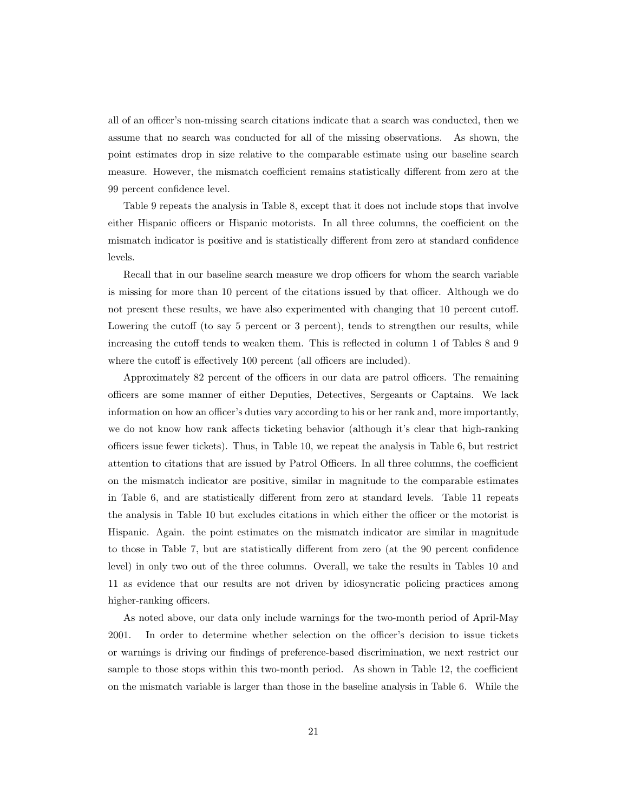all of an officer's non-missing search citations indicate that a search was conducted, then we assume that no search was conducted for all of the missing observations. As shown, the point estimates drop in size relative to the comparable estimate using our baseline search measure. However, the mismatch coefficient remains statistically different from zero at the 99 percent confidence level.

Table 9 repeats the analysis in Table 8, except that it does not include stops that involve either Hispanic officers or Hispanic motorists. In all three columns, the coefficient on the mismatch indicator is positive and is statistically different from zero at standard confidence levels.

Recall that in our baseline search measure we drop officers for whom the search variable is missing for more than 10 percent of the citations issued by that officer. Although we do not present these results, we have also experimented with changing that 10 percent cutoff. Lowering the cutoff (to say 5 percent or 3 percent), tends to strengthen our results, while increasing the cutoff tends to weaken them. This is reflected in column 1 of Tables 8 and 9 where the cutoff is effectively 100 percent (all officers are included).

Approximately 82 percent of the officers in our data are patrol officers. The remaining officers are some manner of either Deputies, Detectives, Sergeants or Captains. We lack information on how an officer's duties vary according to his or her rank and, more importantly, we do not know how rank affects ticketing behavior (although it's clear that high-ranking officers issue fewer tickets). Thus, in Table 10, we repeat the analysis in Table 6, but restrict attention to citations that are issued by Patrol Officers. In all three columns, the coefficient on the mismatch indicator are positive, similar in magnitude to the comparable estimates in Table 6, and are statistically different from zero at standard levels. Table 11 repeats the analysis in Table 10 but excludes citations in which either the officer or the motorist is Hispanic. Again. the point estimates on the mismatch indicator are similar in magnitude to those in Table 7, but are statistically different from zero (at the 90 percent confidence level) in only two out of the three columns. Overall, we take the results in Tables 10 and 11 as evidence that our results are not driven by idiosyncratic policing practices among higher-ranking officers.

As noted above, our data only include warnings for the two-month period of April-May 2001. In order to determine whether selection on the officer's decision to issue tickets or warnings is driving our findings of preference-based discrimination, we next restrict our sample to those stops within this two-month period. As shown in Table 12, the coefficient on the mismatch variable is larger than those in the baseline analysis in Table 6. While the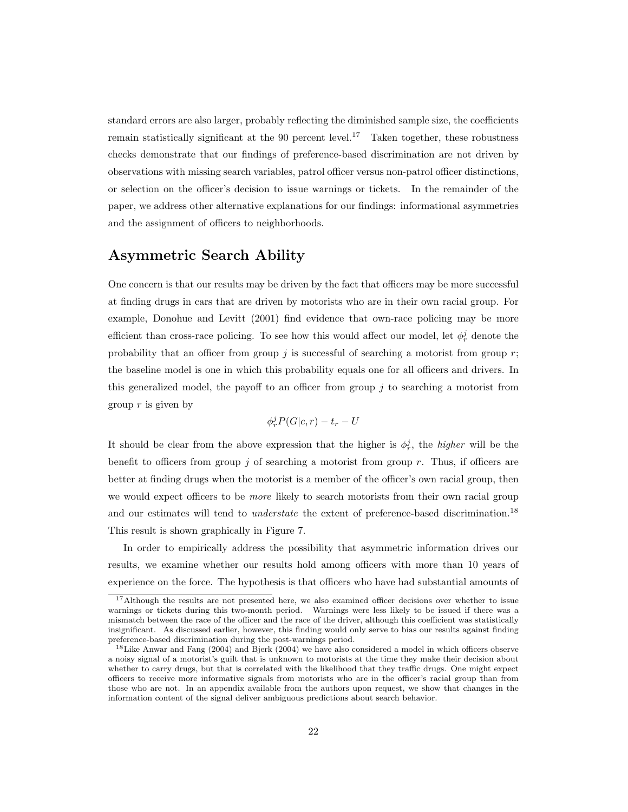standard errors are also larger, probably reflecting the diminished sample size, the coefficients remain statistically significant at the 90 percent level.<sup>17</sup> Taken together, these robustness checks demonstrate that our findings of preference-based discrimination are not driven by observations with missing search variables, patrol officer versus non-patrol officer distinctions, or selection on the officer's decision to issue warnings or tickets. In the remainder of the paper, we address other alternative explanations for our findings: informational asymmetries and the assignment of officers to neighborhoods.

#### Asymmetric Search Ability

One concern is that our results may be driven by the fact that officers may be more successful at finding drugs in cars that are driven by motorists who are in their own racial group. For example, Donohue and Levitt (2001) find evidence that own-race policing may be more efficient than cross-race policing. To see how this would affect our model, let  $\phi_r^j$  denote the probability that an officer from group  $j$  is successful of searching a motorist from group  $r$ ; the baseline model is one in which this probability equals one for all officers and drivers. In this generalized model, the payoff to an officer from group  $j$  to searching a motorist from group  $r$  is given by

$$
\phi_r^j P(G|c,r) - t_r - U
$$

It should be clear from the above expression that the higher is  $\phi_r^j$ , the *higher* will be the benefit to officers from group j of searching a motorist from group r. Thus, if officers are better at finding drugs when the motorist is a member of the officer's own racial group, then we would expect officers to be *more* likely to search motorists from their own racial group and our estimates will tend to *understate* the extent of preference-based discrimination.<sup>18</sup> This result is shown graphically in Figure 7.

In order to empirically address the possibility that asymmetric information drives our results, we examine whether our results hold among officers with more than 10 years of experience on the force. The hypothesis is that officers who have had substantial amounts of

<sup>&</sup>lt;sup>17</sup>Although the results are not presented here, we also examined officer decisions over whether to issue warnings or tickets during this two-month period. Warnings were less likely to be issued if there was a mismatch between the race of the officer and the race of the driver, although this coefficient was statistically insignificant. As discussed earlier, however, this finding would only serve to bias our results against finding preference-based discrimination during the post-warnings period.

<sup>18</sup>Like Anwar and Fang (2004) and Bjerk (2004) we have also considered a model in which officers observe a noisy signal of a motorist's guilt that is unknown to motorists at the time they make their decision about whether to carry drugs, but that is correlated with the likelihood that they traffic drugs. One might expect officers to receive more informative signals from motorists who are in the officer's racial group than from those who are not. In an appendix available from the authors upon request, we show that changes in the information content of the signal deliver ambiguous predictions about search behavior.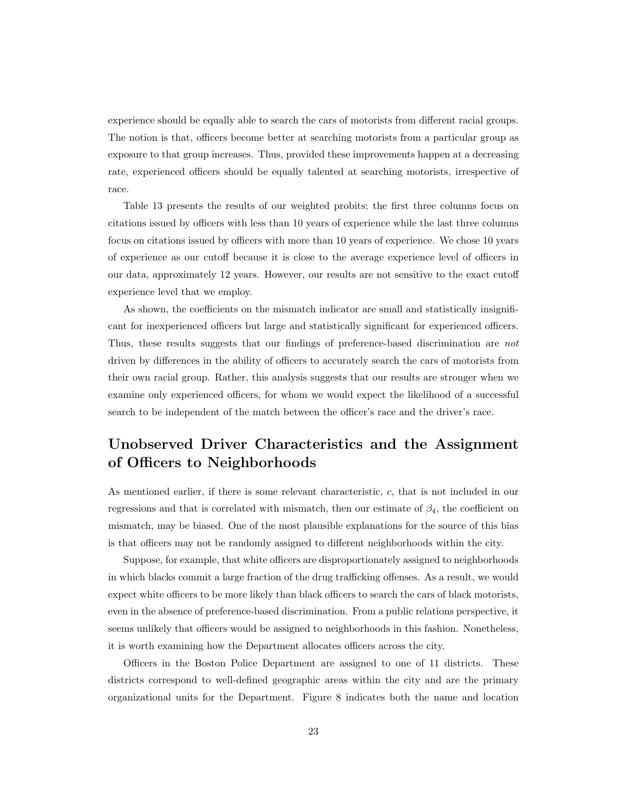experience should be equally able to search the cars of motorists from different racial groups. The notion is that, officers become better at searching motorists from a particular group as exposure to that group increases. Thus, provided these improvements happen at a decreasing rate, experienced officers should be equally talented at searching motorists, irrespective of race.

Table 13 presents the results of our weighted probits; the first three columns focus on citations issued by officers with less than 10 years of experience while the last three columns focus on citations issued by officers with more than 10 years of experience. We chose 10 years of experience as our cutoff because it is close to the average experience level of officers in our data, approximately 12 years. However, our results are not sensitive to the exact cutoff experience level that we employ.

As shown, the coefficients on the mismatch indicator are small and statistically insignificant for inexperienced officers but large and statistically significant for experienced officers. Thus, these results suggests that our findings of preference-based discrimination are not driven by differences in the ability of officers to accurately search the cars of motorists from their own racial group. Rather, this analysis suggests that our results are stronger when we examine only experienced officers, for whom we would expect the likelihood of a successful search to be independent of the match between the officer's race and the driver's race.

# Unobserved Driver Characteristics and the Assignment of Officers to Neighborhoods

As mentioned earlier, if there is some relevant characteristic, c, that is not included in our regressions and that is correlated with mismatch, then our estimate of  $\beta_4$ , the coefficient on mismatch, may be biased. One of the most plausible explanations for the source of this bias is that officers may not be randomly assigned to different neighborhoods within the city.

Suppose, for example, that white officers are disproportionately assigned to neighborhoods in which blacks commit a large fraction of the drug trafficking offenses. As a result, we would expect white officers to be more likely than black officers to search the cars of black motorists, even in the absence of preference-based discrimination. From a public relations perspective, it seems unlikely that officers would be assigned to neighborhoods in this fashion. Nonetheless, it is worth examining how the Department allocates officers across the city.

Officers in the Boston Police Department are assigned to one of 11 districts. These districts correspond to well-defined geographic areas within the city and are the primary organizational units for the Department. Figure 8 indicates both the name and location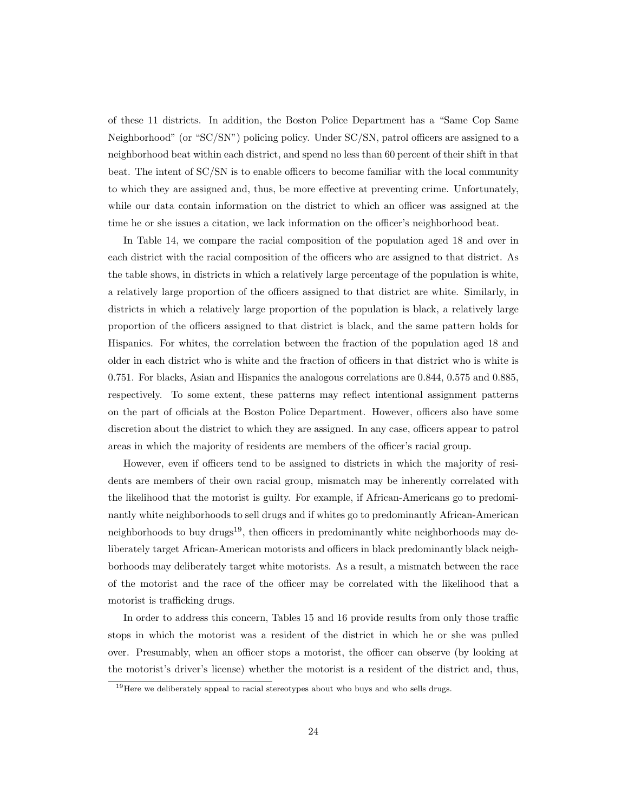of these 11 districts. In addition, the Boston Police Department has a "Same Cop Same Neighborhood" (or "SC/SN") policing policy. Under SC/SN, patrol officers are assigned to a neighborhood beat within each district, and spend no less than 60 percent of their shift in that beat. The intent of SC/SN is to enable officers to become familiar with the local community to which they are assigned and, thus, be more effective at preventing crime. Unfortunately, while our data contain information on the district to which an officer was assigned at the time he or she issues a citation, we lack information on the officer's neighborhood beat.

In Table 14, we compare the racial composition of the population aged 18 and over in each district with the racial composition of the officers who are assigned to that district. As the table shows, in districts in which a relatively large percentage of the population is white, a relatively large proportion of the officers assigned to that district are white. Similarly, in districts in which a relatively large proportion of the population is black, a relatively large proportion of the officers assigned to that district is black, and the same pattern holds for Hispanics. For whites, the correlation between the fraction of the population aged 18 and older in each district who is white and the fraction of officers in that district who is white is 0.751. For blacks, Asian and Hispanics the analogous correlations are 0.844, 0.575 and 0.885, respectively. To some extent, these patterns may reflect intentional assignment patterns on the part of officials at the Boston Police Department. However, officers also have some discretion about the district to which they are assigned. In any case, officers appear to patrol areas in which the majority of residents are members of the officer's racial group.

However, even if officers tend to be assigned to districts in which the majority of residents are members of their own racial group, mismatch may be inherently correlated with the likelihood that the motorist is guilty. For example, if African-Americans go to predominantly white neighborhoods to sell drugs and if whites go to predominantly African-American neighborhoods to buy drugs<sup>19</sup>, then officers in predominantly white neighborhoods may deliberately target African-American motorists and officers in black predominantly black neighborhoods may deliberately target white motorists. As a result, a mismatch between the race of the motorist and the race of the officer may be correlated with the likelihood that a motorist is trafficking drugs.

In order to address this concern, Tables 15 and 16 provide results from only those traffic stops in which the motorist was a resident of the district in which he or she was pulled over. Presumably, when an officer stops a motorist, the officer can observe (by looking at the motorist's driver's license) whether the motorist is a resident of the district and, thus,

<sup>&</sup>lt;sup>19</sup>Here we deliberately appeal to racial stereotypes about who buys and who sells drugs.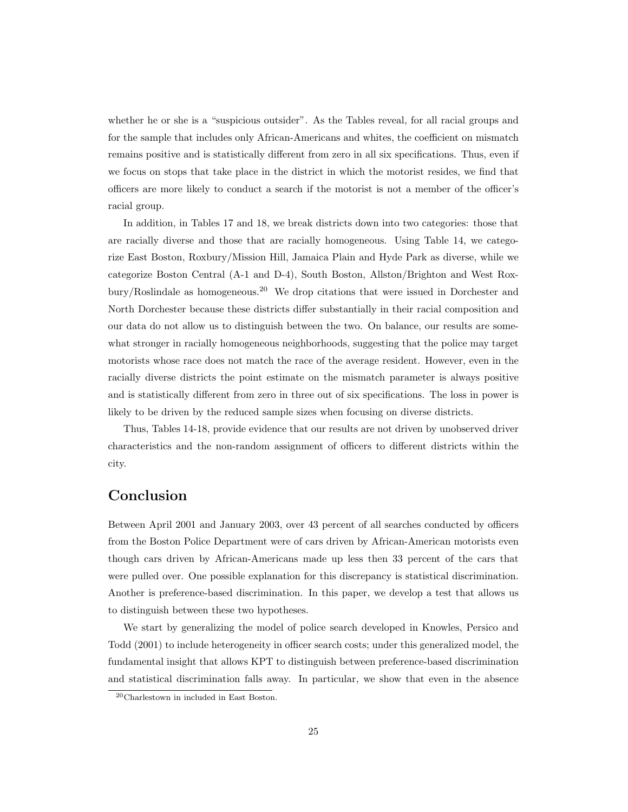whether he or she is a "suspicious outsider". As the Tables reveal, for all racial groups and for the sample that includes only African-Americans and whites, the coefficient on mismatch remains positive and is statistically different from zero in all six specifications. Thus, even if we focus on stops that take place in the district in which the motorist resides, we find that officers are more likely to conduct a search if the motorist is not a member of the officer's racial group.

In addition, in Tables 17 and 18, we break districts down into two categories: those that are racially diverse and those that are racially homogeneous. Using Table 14, we categorize East Boston, Roxbury/Mission Hill, Jamaica Plain and Hyde Park as diverse, while we categorize Boston Central (A-1 and D-4), South Boston, Allston/Brighton and West Roxbury/Roslindale as homogeneous.<sup>20</sup> We drop citations that were issued in Dorchester and North Dorchester because these districts differ substantially in their racial composition and our data do not allow us to distinguish between the two. On balance, our results are somewhat stronger in racially homogeneous neighborhoods, suggesting that the police may target motorists whose race does not match the race of the average resident. However, even in the racially diverse districts the point estimate on the mismatch parameter is always positive and is statistically different from zero in three out of six specifications. The loss in power is likely to be driven by the reduced sample sizes when focusing on diverse districts.

Thus, Tables 14-18, provide evidence that our results are not driven by unobserved driver characteristics and the non-random assignment of officers to different districts within the city.

### Conclusion

Between April 2001 and January 2003, over 43 percent of all searches conducted by officers from the Boston Police Department were of cars driven by African-American motorists even though cars driven by African-Americans made up less then 33 percent of the cars that were pulled over. One possible explanation for this discrepancy is statistical discrimination. Another is preference-based discrimination. In this paper, we develop a test that allows us to distinguish between these two hypotheses.

We start by generalizing the model of police search developed in Knowles, Persico and Todd (2001) to include heterogeneity in officer search costs; under this generalized model, the fundamental insight that allows KPT to distinguish between preference-based discrimination and statistical discrimination falls away. In particular, we show that even in the absence

<sup>20</sup>Charlestown in included in East Boston.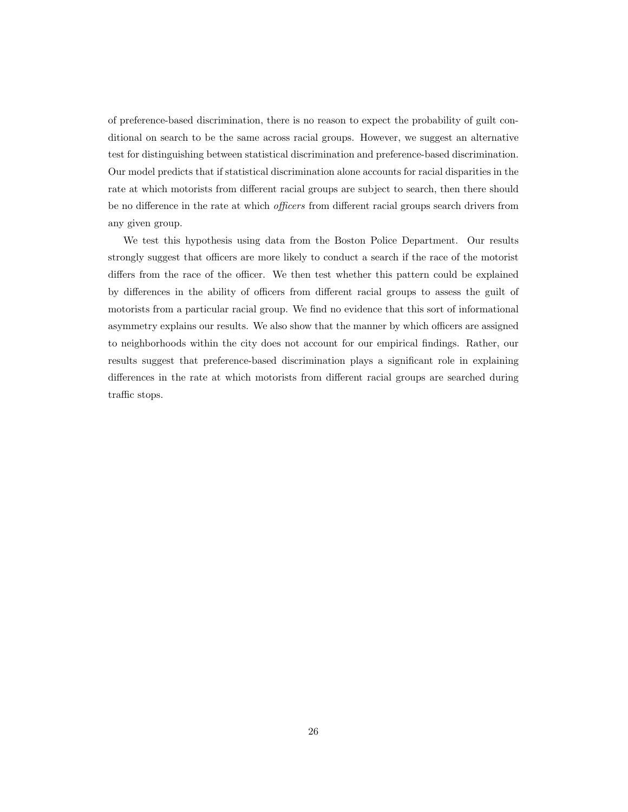of preference-based discrimination, there is no reason to expect the probability of guilt conditional on search to be the same across racial groups. However, we suggest an alternative test for distinguishing between statistical discrimination and preference-based discrimination. Our model predicts that if statistical discrimination alone accounts for racial disparities in the rate at which motorists from different racial groups are subject to search, then there should be no difference in the rate at which officers from different racial groups search drivers from any given group.

We test this hypothesis using data from the Boston Police Department. Our results strongly suggest that officers are more likely to conduct a search if the race of the motorist differs from the race of the officer. We then test whether this pattern could be explained by differences in the ability of officers from different racial groups to assess the guilt of motorists from a particular racial group. We find no evidence that this sort of informational asymmetry explains our results. We also show that the manner by which officers are assigned to neighborhoods within the city does not account for our empirical findings. Rather, our results suggest that preference-based discrimination plays a significant role in explaining differences in the rate at which motorists from different racial groups are searched during traffic stops.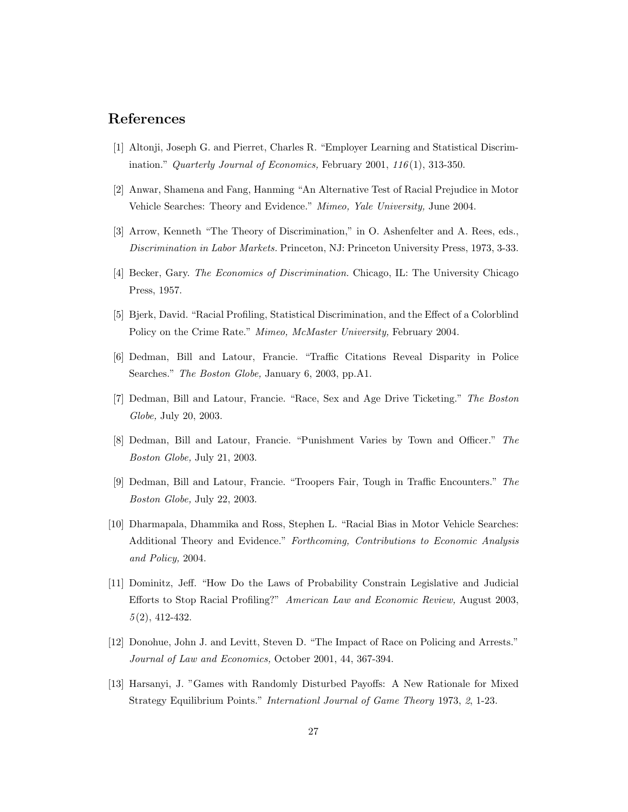#### References

- [1] Altonji, Joseph G. and Pierret, Charles R. "Employer Learning and Statistical Discrimination." Quarterly Journal of Economics, February 2001,  $116(1)$ , 313-350.
- [2] Anwar, Shamena and Fang, Hanming "An Alternative Test of Racial Prejudice in Motor Vehicle Searches: Theory and Evidence." Mimeo, Yale University, June 2004.
- [3] Arrow, Kenneth "The Theory of Discrimination," in O. Ashenfelter and A. Rees, eds., Discrimination in Labor Markets. Princeton, NJ: Princeton University Press, 1973, 3-33.
- [4] Becker, Gary. The Economics of Discrimination. Chicago, IL: The University Chicago Press, 1957.
- [5] Bjerk, David. "Racial Profiling, Statistical Discrimination, and the Effect of a Colorblind Policy on the Crime Rate." Mimeo, McMaster University, February 2004.
- [6] Dedman, Bill and Latour, Francie. "Traffic Citations Reveal Disparity in Police Searches." The Boston Globe, January 6, 2003, pp.A1.
- [7] Dedman, Bill and Latour, Francie. "Race, Sex and Age Drive Ticketing." The Boston Globe, July 20, 2003.
- [8] Dedman, Bill and Latour, Francie. "Punishment Varies by Town and Officer." The Boston Globe, July 21, 2003.
- [9] Dedman, Bill and Latour, Francie. "Troopers Fair, Tough in Traffic Encounters." The Boston Globe, July 22, 2003.
- [10] Dharmapala, Dhammika and Ross, Stephen L. "Racial Bias in Motor Vehicle Searches: Additional Theory and Evidence." Forthcoming, Contributions to Economic Analysis and Policy, 2004.
- [11] Dominitz, Jeff. "How Do the Laws of Probability Constrain Legislative and Judicial Efforts to Stop Racial Profiling?" American Law and Economic Review, August 2003, 5 (2), 412-432.
- [12] Donohue, John J. and Levitt, Steven D. "The Impact of Race on Policing and Arrests." Journal of Law and Economics, October 2001, 44, 367-394.
- [13] Harsanyi, J. "Games with Randomly Disturbed Payoffs: A New Rationale for Mixed Strategy Equilibrium Points." Internationl Journal of Game Theory 1973, 2, 1-23.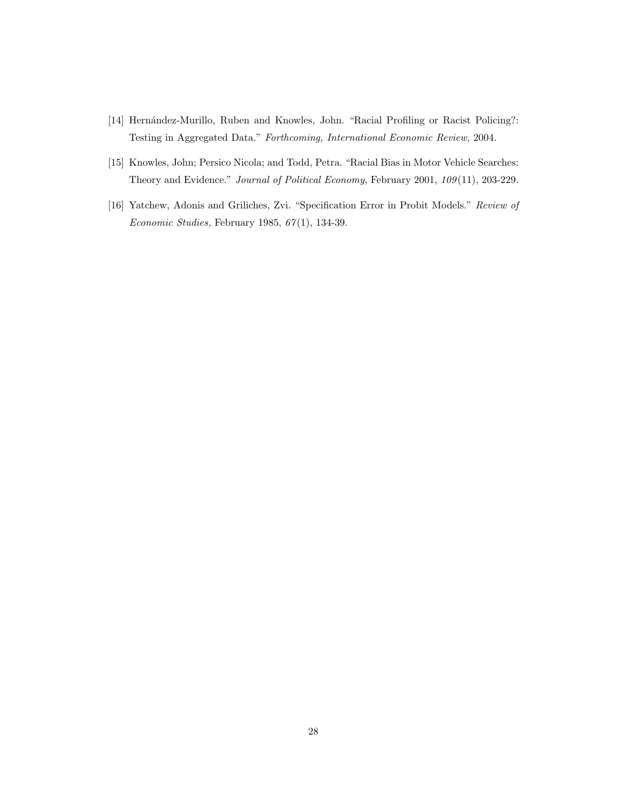- [14] Hernández-Murillo, Ruben and Knowles, John. "Racial Profiling or Racist Policing?: Testing in Aggregated Data." Forthcoming, International Economic Review, 2004.
- [15] Knowles, John; Persico Nicola; and Todd, Petra. "Racial Bias in Motor Vehicle Searches: Theory and Evidence." Journal of Political Economy, February 2001, 109 (11), 203-229.
- [16] Yatchew, Adonis and Griliches, Zvi. "Specification Error in Probit Models." Review of Economic Studies, February 1985, 67 (1), 134-39.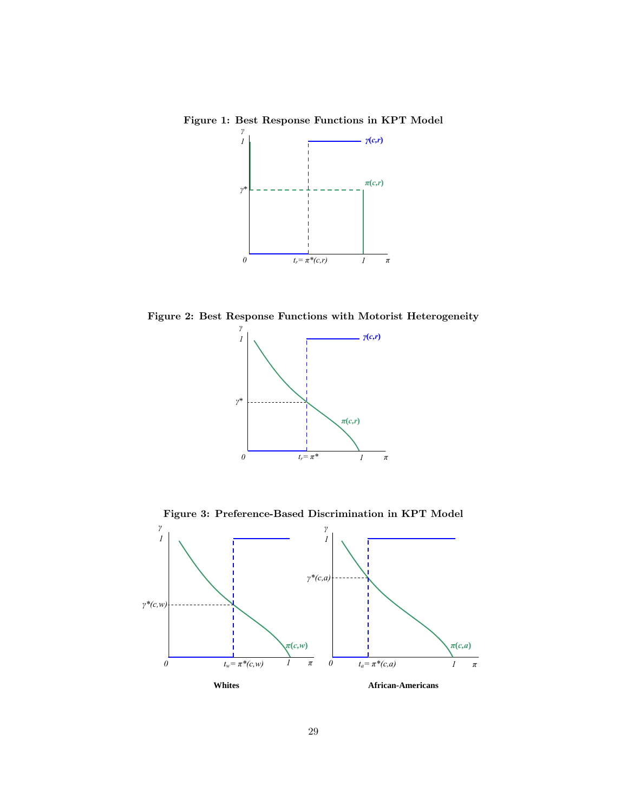Figure 1: Best Response Functions in KPT Model



Figure 2: Best Response Functions with Motorist Heterogeneity



Figure 3: Preference-Based Discrimination in KPT Model

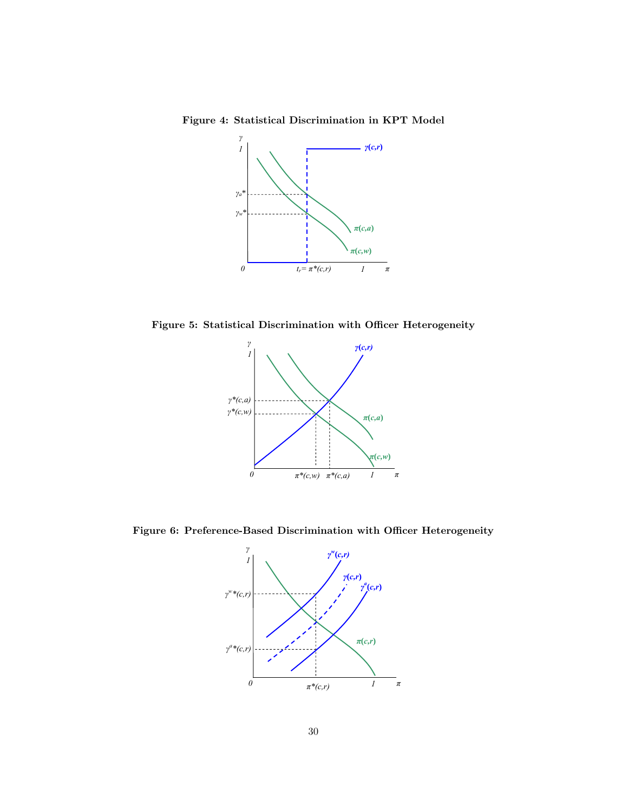Figure 4: Statistical Discrimination in KPT Model



Figure 5: Statistical Discrimination with Officer Heterogeneity



Figure 6: Preference-Based Discrimination with Officer Heterogeneity

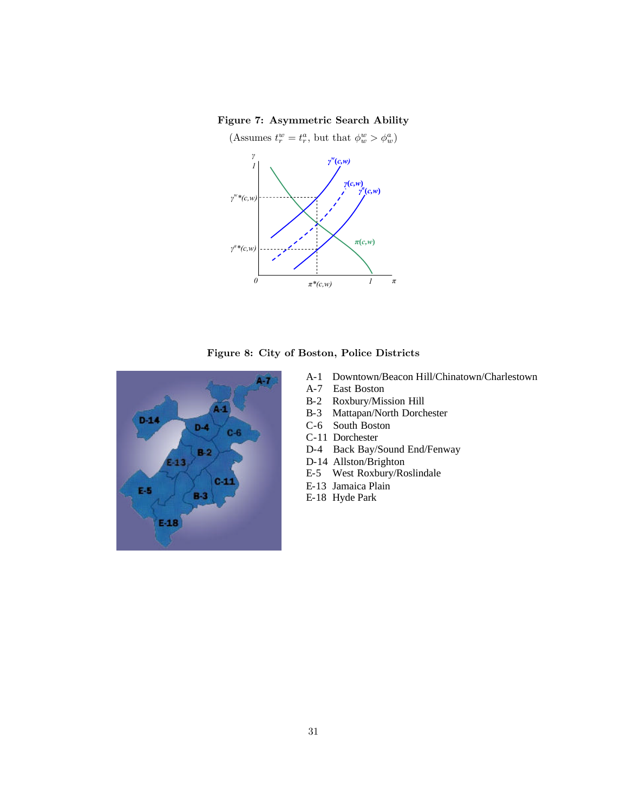#### Figure 7: Asymmetric Search Ability







- A-1 Downtown/Beacon Hill/Chinatown/Charlestown
- A-7 East Boston
- B-2 Roxbury/Mission Hill<br>B-3 Mattapan/North Dorch
- Mattapan/North Dorchester
- C-6 South Boston
- C-11 Dorchester
- D-4 Back Bay/Sound End/Fenway
- D-14 Allston/Brighton
- E-5 West Roxbury/Roslindale
- E-13 Jamaica Plain
- E-18 Hyde Park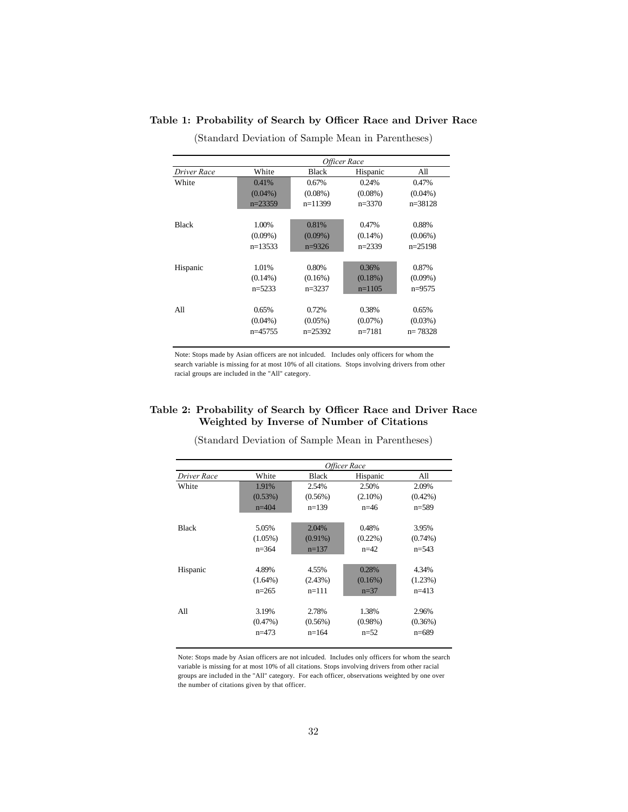|              |            | Officer Race |            |             |  |  |  |  |  |
|--------------|------------|--------------|------------|-------------|--|--|--|--|--|
| Driver Race  | White      | <b>Black</b> | Hispanic   | All         |  |  |  |  |  |
| White        | 0.41%      | 0.67%        | 0.24%      | 0.47%       |  |  |  |  |  |
|              | $(0.04\%)$ | $(0.08\%)$   | $(0.08\%)$ | $(0.04\%)$  |  |  |  |  |  |
|              | $n=23359$  | $n=11399$    | $n=3370$   | $n = 38128$ |  |  |  |  |  |
| <b>Black</b> | 1.00%      | 0.81%        | 0.47%      | 0.88%       |  |  |  |  |  |
|              | $(0.09\%)$ | $(0.09\%)$   | $(0.14\%)$ | $(0.06\%)$  |  |  |  |  |  |
|              | $n=13533$  | $n=9326$     | $n=2339$   | $n=25198$   |  |  |  |  |  |
| Hispanic     | 1.01%      | 0.80%        | 0.36%      | 0.87%       |  |  |  |  |  |
|              | $(0.14\%)$ | $(0.16\%)$   | $(0.18\%)$ | $(0.09\%)$  |  |  |  |  |  |
|              | $n=5233$   | $n=3237$     | $n=1105$   | $n=9575$    |  |  |  |  |  |
| All          | 0.65%      | 0.72%        | 0.38%      | 0.65%       |  |  |  |  |  |
|              | $(0.04\%)$ | $(0.05\%)$   | $(0.07\%)$ | $(0.03\%)$  |  |  |  |  |  |
|              | $n=45755$  | $n=25392$    | $n=7181$   | $n = 78328$ |  |  |  |  |  |

Table 1: Probability of Search by Officer Race and Driver Race

(Standard Deviation of Sample Mean in Parentheses)

Note: Stops made by Asian officers are not inlcuded. Includes only officers for whom the search variable is missing for at most 10% of all citations. Stops involving drivers from other racial groups are included in the "All" category.

#### Table 2: Probability of Search by Officer Race and Driver Race Weighted by Inverse of Number of Citations

|              |            |            | Officer Race |            |
|--------------|------------|------------|--------------|------------|
| Driver Race  | White      | Black      | Hispanic     | All        |
| White        | 1.91%      | 2.54%      | 2.50%        | 2.09%      |
|              | (0.53%)    | $(0.56\%)$ | $(2.10\%)$   | $(0.42\%)$ |
|              | $n=404$    | $n=139$    | $n=46$       | $n=589$    |
|              |            |            |              |            |
| <b>Black</b> | 5.05%      | 2.04%      | 0.48%        | 3.95%      |
|              | $(1.05\%)$ | $(0.91\%)$ | $(0.22\%)$   | $(0.74\%)$ |
|              | $n=364$    | $n=137$    | $n=42$       | $n=543$    |
| Hispanic     | 4.89%      | 4.55%      | 0.28%        | 4.34%      |
|              | $(1.64\%)$ | (2.43%)    | $(0.16\%)$   | (1.23%)    |
|              | $n=265$    | $n=111$    | $n=37$       | $n=413$    |
|              |            |            |              |            |
| All          | 3.19%      | 2.78%      | 1.38%        | 2.96%      |
|              | $(0.47\%)$ | $(0.56\%)$ | $(0.98\%)$   | (0.36%)    |
|              | $n=473$    | $n=164$    | $n=52$       | $n=689$    |

(Standard Deviation of Sample Mean in Parentheses)

Note: Stops made by Asian officers are not inlcuded. Includes only officers for whom the search variable is missing for at most 10% of all citations. Stops involving drivers from other racial groups are included in the "All" category. For each officer, observations weighted by one over the number of citations given by that officer.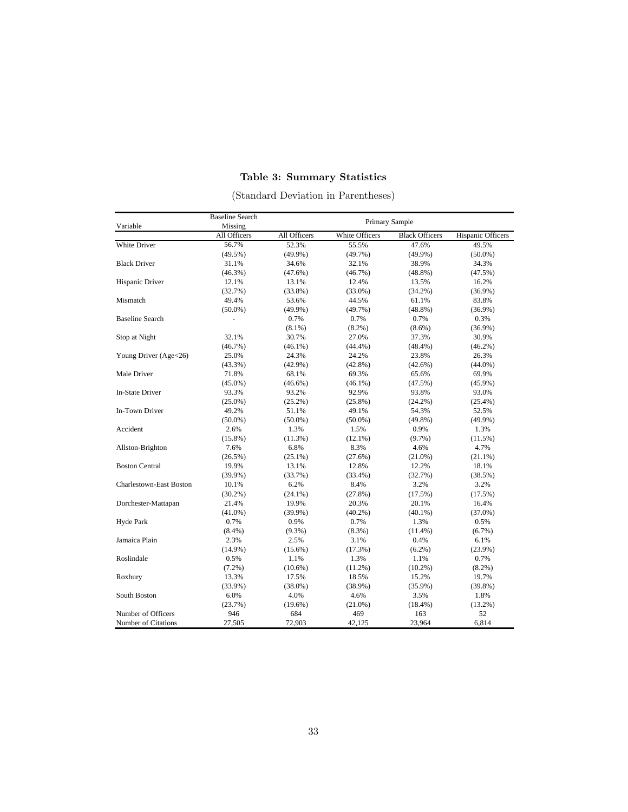## Table 3: Summary Statistics

| Variable                       | <b>Baseline Search</b><br>Missing |              | Primary Sample |                       |                   |
|--------------------------------|-----------------------------------|--------------|----------------|-----------------------|-------------------|
|                                | All Officers                      | All Officers | White Officers | <b>Black Officers</b> | Hispanic Officers |
| White Driver                   | 56.7%                             | 52.3%        | 55.5%          | 47.6%                 | 49.5%             |
|                                | (49.5%)                           | $(49.9\%)$   | $(49.7\%)$     | (49.9%)               | $(50.0\%)$        |
| <b>Black Driver</b>            | 31.1%                             | 34.6%        | 32.1%          | 38.9%                 | 34.3%             |
|                                | $(46.3\%)$                        | (47.6%)      | (46.7%)        | $(48.8\%)$            | (47.5%)           |
| Hispanic Driver                | 12.1%                             | 13.1%        | 12.4%          | 13.5%                 | 16.2%             |
|                                | (32.7%)                           | $(33.8\%)$   | $(33.0\%)$     | $(34.2\%)$            | $(36.9\%)$        |
| Mismatch                       | 49.4%                             | 53.6%        | 44.5%          | 61.1%                 | 83.8%             |
|                                | $(50.0\%)$                        | $(49.9\%)$   | (49.7%)        | $(48.8\%)$            | $(36.9\%)$        |
| <b>Baseline Search</b>         |                                   | 0.7%         | 0.7%           | 0.7%                  | 0.3%              |
|                                |                                   | $(8.1\%)$    | $(8.2\%)$      | $(8.6\%)$             | $(36.9\%)$        |
| Stop at Night                  | 32.1%                             | 30.7%        | 27.0%          | 37.3%                 | 30.9%             |
|                                | (46.7%)                           | $(46.1\%)$   | (44.4%)        | (48.4%)               | $(46.2\%)$        |
| Young Driver (Age<26)          | 25.0%                             | 24.3%        | 24.2%          | 23.8%                 | 26.3%             |
|                                | $(43.3\%)$                        | $(42.9\%)$   | $(42.8\%)$     | $(42.6\%)$            | $(44.0\%)$        |
| Male Driver                    | 71.8%                             | 68.1%        | 69.3%          | 65.6%                 | 69.9%             |
|                                | $(45.0\%)$                        | $(46.6\%)$   | $(46.1\%)$     | (47.5%)               | $(45.9\%)$        |
| In-State Driver                | 93.3%                             | 93.2%        | 92.9%          | 93.8%                 | 93.0%             |
|                                | $(25.0\%)$                        | $(25.2\%)$   | $(25.8\%)$     | (24.2%)               | $(25.4\%)$        |
| In-Town Driver                 | 49.2%                             | 51.1%        | 49.1%          | 54.3%                 | 52.5%             |
|                                | $(50.0\%)$                        | $(50.0\%)$   | $(50.0\%)$     | $(49.8\%)$            | $(49.9\%)$        |
| Accident                       | 2.6%                              | 1.3%         | 1.5%           | 0.9%                  | 1.3%              |
|                                | $(15.8\%)$                        | (11.3%)      | $(12.1\%)$     | $(9.7\%)$             | (11.5%)           |
| Allston-Brighton               | 7.6%                              | 6.8%         | 8.3%           | 4.6%                  | 4.7%              |
|                                | $(26.5\%)$                        | $(25.1\%)$   | (27.6%)        | $(21.0\%)$            | $(21.1\%)$        |
| <b>Boston Central</b>          | 19.9%                             | 13.1%        | 12.8%          | 12.2%                 | 18.1%             |
|                                | (39.9%)                           | (33.7%)      | $(33.4\%)$     | (32.7%)               | (38.5%)           |
| <b>Charlestown-East Boston</b> | 10.1%                             | 6.2%         | 8.4%           | 3.2%                  | 3.2%              |
|                                | $(30.2\%)$                        | $(24.1\%)$   | (27.8%)        | (17.5%)               | (17.5%)           |
| Dorchester-Mattapan            | 21.4%                             | 19.9%        | 20.3%          | 20.1%                 | 16.4%             |
|                                | $(41.0\%)$                        | $(39.9\%)$   | $(40.2\%)$     | $(40.1\%)$            | $(37.0\%)$        |
| Hyde Park                      | 0.7%                              | 0.9%         | 0.7%           | 1.3%                  | 0.5%              |
|                                | $(8.4\%)$                         | $(9.3\%)$    | $(8.3\%)$      | $(11.4\%)$            | $(6.7\%)$         |
| Jamaica Plain                  | 2.3%                              | 2.5%         | 3.1%           | 0.4%                  | 6.1%              |
|                                | $(14.9\%)$                        | $(15.6\%)$   | (17.3%)        | $(6.2\%)$             | $(23.9\%)$        |
| Roslindale                     | 0.5%                              | 1.1%         | 1.3%           | 1.1%                  | 0.7%              |
|                                | $(7.2\%)$                         | $(10.6\%)$   | $(11.2\%)$     | $(10.2\%)$            | $(8.2\%)$         |
| Roxbury                        | 13.3%                             | 17.5%        | 18.5%          | 15.2%                 | 19.7%             |
|                                | $(33.9\%)$                        | $(38.0\%)$   | $(38.9\%)$     | $(35.9\%)$            | $(39.8\%)$        |
| South Boston                   | 6.0%                              | 4.0%         | 4.6%           | 3.5%                  | 1.8%              |
|                                | (23.7%)                           | $(19.6\%)$   | $(21.0\%)$     | $(18.4\%)$            | $(13.2\%)$        |
| Number of Officers             | 946                               | 684          | 469            | 163                   | 52                |
| Number of Citations            | 27,505                            | 72,903       | 42,125         | 23,964                | 6,814             |

(Standard Deviation in Parentheses)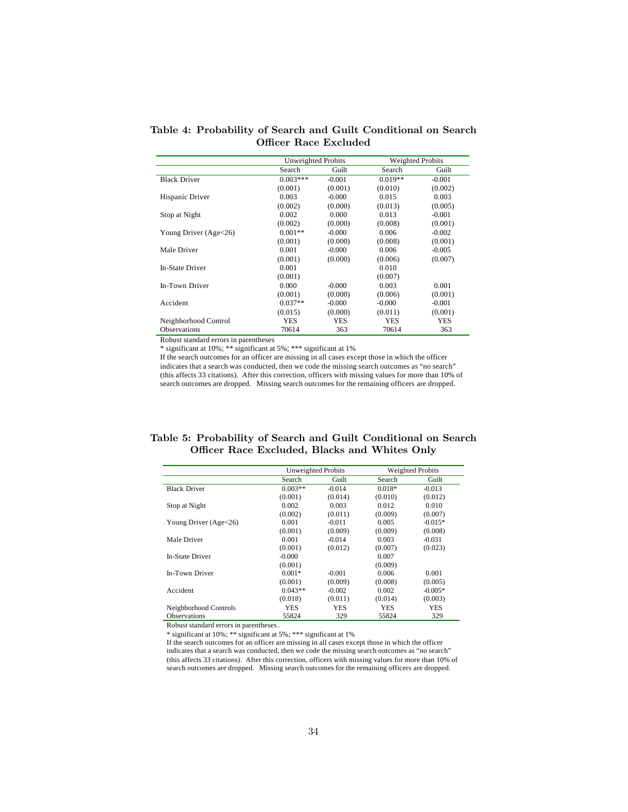Table 4: Probability of Search and Guilt Conditional on Search Officer Race Excluded

|                        | Unweighted Probits |          | <b>Weighted Probits</b> |            |
|------------------------|--------------------|----------|-------------------------|------------|
|                        | Search             | Guilt    | Search                  | Guilt      |
| <b>Black Driver</b>    | $0.003***$         | $-0.001$ | $0.019**$               | $-0.001$   |
|                        | (0.001)            | (0.001)  | (0.010)                 | (0.002)    |
| Hispanic Driver        | 0.003              | $-0.000$ | 0.015                   | 0.003      |
|                        | (0.002)            | (0.000)  | (0.013)                 | (0.005)    |
| Stop at Night          | 0.002              | 0.000    | 0.013                   | $-0.001$   |
|                        | (0.002)            | (0.000)  | (0.008)                 | (0.001)    |
| Young Driver (Age<26)  | $0.001**$          | $-0.000$ | 0.006                   | $-0.002$   |
|                        | (0.001)            | (0.000)  | (0.008)                 | (0.001)    |
| Male Driver            | 0.001              | $-0.000$ | 0.006                   | $-0.005$   |
|                        | (0.001)            | (0.000)  | (0.006)                 | (0.007)    |
| <b>In-State Driver</b> | 0.001              |          | 0.010                   |            |
|                        | (0.001)            |          | (0.007)                 |            |
| In-Town Driver         | 0.000              | $-0.000$ | 0.003                   | 0.001      |
|                        | (0.001)            | (0.000)  | (0.006)                 | (0.001)    |
| Accident               | $0.037**$          | $-0.000$ | $-0.000$                | $-0.001$   |
|                        | (0.015)            | (0.000)  | (0.011)                 | (0.001)    |
| Neighborhood Control   | YES                | YES      | YES                     | <b>YES</b> |
| <b>Observations</b>    | 70614              | 363      | 70614                   | 363        |

\* significant at 10%; \*\* significant at 5%; \*\*\* significant at 1%

If the search outcomes for an officer are missing in all cases except those in which the officer indicates that a search was conducted, then we code the missing search outcomes as "no search" (this affects 33 citations). After this correction, officers with missing values for more than 10% of search outcomes are dropped. Missing search outcomes for the remaining officers are dropped.

|  | Table 5: Probability of Search and Guilt Conditional on Search |  |  |  |
|--|----------------------------------------------------------------|--|--|--|
|  | Officer Race Excluded, Blacks and Whites Only                  |  |  |  |

|                         | Unweighted Probits |            |          | <b>Weighted Probits</b> |
|-------------------------|--------------------|------------|----------|-------------------------|
|                         | Search             | Guilt      | Search   | Guilt                   |
| <b>Black Driver</b>     | $0.003**$          | $-0.014$   | $0.018*$ | $-0.013$                |
|                         | (0.001)            | (0.014)    | (0.010)  | (0.012)                 |
| Stop at Night           | 0.002              | 0.003      | 0.012    | 0.010                   |
|                         | (0.002)            | (0.011)    | (0.009)  | (0.007)                 |
| Young Driver $(Age<26)$ | 0.001              | $-0.011$   | 0.005    | $-0.015*$               |
|                         | (0.001)            | (0.009)    | (0.009)  | (0.008)                 |
| Male Driver             | 0.001              | $-0.014$   | 0.003    | $-0.031$                |
|                         | (0.001)            | (0.012)    | (0.007)  | (0.023)                 |
| In-State Driver         | $-0.000$           |            | 0.007    |                         |
|                         | (0.001)            |            | (0.009)  |                         |
| In-Town Driver          | $0.001*$           | $-0.001$   | 0.006    | 0.001                   |
|                         | (0.001)            | (0.009)    | (0.008)  | (0.005)                 |
| Accident                | $0.043**$          | $-0.002$   | 0.002    | $-0.005*$               |
|                         | (0.018)            | (0.011)    | (0.014)  | (0.003)                 |
| Neighborhood Controls   | YES                | <b>YES</b> | YES      | <b>YES</b>              |
| <b>Observations</b>     | 55824              | 329        | 55824    | 329                     |

Robust standard errors in parentheses.

\* significant at 10%; \*\* significant at 5%; \*\*\* significant at 1%

If the search outcomes for an officer are missing in all cases except those in which the officer indicates that a search was conducted, then we code the missing search outcomes as "no search" (this affects 33 citations). After this correction, officers with missing values for more than 10% of search outcomes are dropped. Missing search outcomes for the remaining officers are dropped.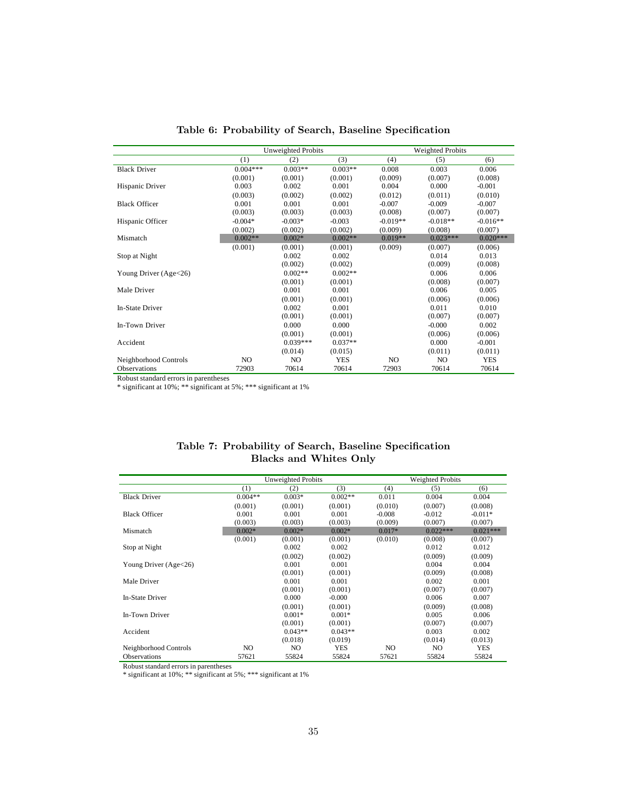|                       |            | <b>Unweighted Probits</b> |            |            | <b>Weighted Probits</b> |            |
|-----------------------|------------|---------------------------|------------|------------|-------------------------|------------|
|                       | (1)        | (2)                       | (3)        | (4)        | (5)                     | (6)        |
| <b>Black Driver</b>   | $0.004***$ | $0.003**$                 | $0.003**$  | 0.008      | 0.003                   | 0.006      |
|                       | (0.001)    | (0.001)                   | (0.001)    | (0.009)    | (0.007)                 | (0.008)    |
| Hispanic Driver       | 0.003      | 0.002                     | 0.001      | 0.004      | 0.000                   | $-0.001$   |
|                       | (0.003)    | (0.002)                   | (0.002)    | (0.012)    | (0.011)                 | (0.010)    |
| <b>Black Officer</b>  | 0.001      | 0.001                     | 0.001      | $-0.007$   | $-0.009$                | $-0.007$   |
|                       | (0.003)    | (0.003)                   | (0.003)    | (0.008)    | (0.007)                 | (0.007)    |
| Hispanic Officer      | $-0.004*$  | $-0.003*$                 | $-0.003$   | $-0.019**$ | $-0.018**$              | $-0.016**$ |
|                       | (0.002)    | (0.002)                   | (0.002)    | (0.009)    | (0.008)                 | (0.007)    |
| Mismatch              | $0.002**$  | $0.002*$                  | $0.002**$  | $0.019**$  | $0.023***$              | $0.020***$ |
|                       | (0.001)    | (0.001)                   | (0.001)    | (0.009)    | (0.007)                 | (0.006)    |
| Stop at Night         |            | 0.002                     | 0.002      |            | 0.014                   | 0.013      |
|                       |            | (0.002)                   | (0.002)    |            | (0.009)                 | (0.008)    |
| Young Driver (Age<26) |            | $0.002**$                 | $0.002**$  |            | 0.006                   | 0.006      |
|                       |            | (0.001)                   | (0.001)    |            | (0.008)                 | (0.007)    |
| Male Driver           |            | 0.001                     | 0.001      |            | 0.006                   | 0.005      |
|                       |            | (0.001)                   | (0.001)    |            | (0.006)                 | (0.006)    |
| In-State Driver       |            | 0.002                     | 0.001      |            | 0.011                   | 0.010      |
|                       |            | (0.001)                   | (0.001)    |            | (0.007)                 | (0.007)    |
| In-Town Driver        |            | 0.000                     | 0.000      |            | $-0.000$                | 0.002      |
|                       |            | (0.001)                   | (0.001)    |            | (0.006)                 | (0.006)    |
| Accident              |            | $0.039***$                | $0.037**$  |            | 0.000                   | $-0.001$   |
|                       |            | (0.014)                   | (0.015)    |            | (0.011)                 | (0.011)    |
| Neighborhood Controls | NO.        | NO.                       | <b>YES</b> | NO.        | NO.                     | <b>YES</b> |
| <b>Observations</b>   | 72903      | 70614                     | 70614      | 72903      | 70614                   | 70614      |

Table 6: Probability of Search, Baseline Specification

\* significant at 10%; \*\* significant at 5%; \*\*\* significant at 1%

| Table 7: Probability of Search, Baseline Specification |  |
|--------------------------------------------------------|--|
| <b>Blacks and Whites Only</b>                          |  |

|                       |           | Unweighted Probits |            |          | Weighted Probits |            |  |
|-----------------------|-----------|--------------------|------------|----------|------------------|------------|--|
|                       | (1)       | (2)                | (3)        | (4)      | (5)              | (6)        |  |
| <b>Black Driver</b>   | $0.004**$ | $0.003*$           | $0.002**$  | 0.011    | 0.004            | 0.004      |  |
|                       | (0.001)   | (0.001)            | (0.001)    | (0.010)  | (0.007)          | (0.008)    |  |
| <b>Black Officer</b>  | 0.001     | 0.001              | 0.001      | $-0.008$ | $-0.012$         | $-0.011*$  |  |
|                       | (0.003)   | (0.003)            | (0.003)    | (0.009)  | (0.007)          | (0.007)    |  |
| Mismatch              | $0.002*$  | $0.002*$           | $0.002*$   | $0.017*$ | $0.022***$       | $0.021***$ |  |
|                       | (0.001)   | (0.001)            | (0.001)    | (0.010)  | (0.008)          | (0.007)    |  |
| Stop at Night         |           | 0.002              | 0.002      |          | 0.012            | 0.012      |  |
|                       |           | (0.002)            | (0.002)    |          | (0.009)          | (0.009)    |  |
| Young Driver (Age<26) |           | 0.001              | 0.001      |          | 0.004            | 0.004      |  |
|                       |           | (0.001)            | (0.001)    |          | (0.009)          | (0.008)    |  |
| Male Driver           |           | 0.001              | 0.001      |          | 0.002            | 0.001      |  |
|                       |           | (0.001)            | (0.001)    |          | (0.007)          | (0.007)    |  |
| In-State Driver       |           | 0.000              | $-0.000$   |          | 0.006            | 0.007      |  |
|                       |           | (0.001)            | (0.001)    |          | (0.009)          | (0.008)    |  |
| In-Town Driver        |           | $0.001*$           | $0.001*$   |          | 0.005            | 0.006      |  |
|                       |           | (0.001)            | (0.001)    |          | (0.007)          | (0.007)    |  |
| Accident              |           | $0.043**$          | $0.043**$  |          | 0.003            | 0.002      |  |
|                       |           | (0.018)            | (0.019)    |          | (0.014)          | (0.013)    |  |
| Neighborhood Controls | NO.       | NO.                | <b>YES</b> | NO.      | NO.              | <b>YES</b> |  |
| <b>Observations</b>   | 57621     | 55824              | 55824      | 57621    | 55824            | 55824      |  |

Robust standard errors in parentheses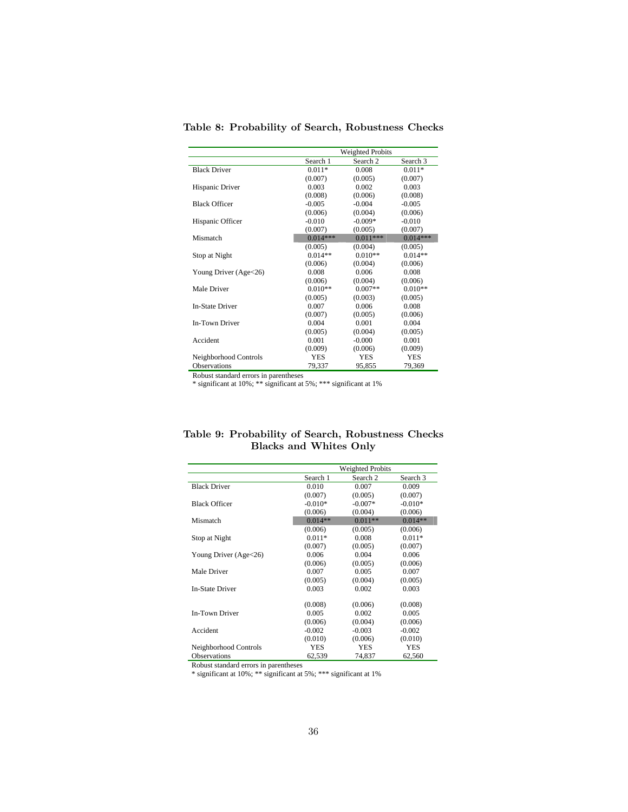|                        |            | <b>Weighted Probits</b> |            |
|------------------------|------------|-------------------------|------------|
|                        | Search 1   | Search <sub>2</sub>     | Search 3   |
| <b>Black Driver</b>    | $0.011*$   | 0.008                   | $0.011*$   |
|                        | (0.007)    | (0.005)                 | (0.007)    |
| Hispanic Driver        | 0.003      | 0.002                   | 0.003      |
|                        | (0.008)    | (0.006)                 | (0.008)    |
| <b>Black Officer</b>   | $-0.005$   | $-0.004$                | $-0.005$   |
|                        | (0.006)    | (0.004)                 | (0.006)    |
| Hispanic Officer       | $-0.010$   | $-0.009*$               | $-0.010$   |
|                        | (0.007)    | (0.005)                 | (0.007)    |
| Mismatch               | $0.014***$ | $0.011***$              | $0.014***$ |
|                        | (0.005)    | (0.004)                 | (0.005)    |
| Stop at Night          | $0.014**$  | $0.010**$               | $0.014**$  |
|                        | (0.006)    | (0.004)                 | (0.006)    |
| Young Driver (Age<26)  | 0.008      | 0.006                   | 0.008      |
|                        | (0.006)    | (0.004)                 | (0.006)    |
| Male Driver            | $0.010**$  | $0.007**$               | $0.010**$  |
|                        | (0.005)    | (0.003)                 | (0.005)    |
| <b>In-State Driver</b> | 0.007      | 0.006                   | 0.008      |
|                        | (0.007)    | (0.005)                 | (0.006)    |
| <b>In-Town Driver</b>  | 0.004      | 0.001                   | 0.004      |
|                        | (0.005)    | (0.004)                 | (0.005)    |
| Accident               | 0.001      | $-0.000$                | 0.001      |
|                        | (0.009)    | (0.006)                 | (0.009)    |
| Neighborhood Controls  | <b>YES</b> | <b>YES</b>              | <b>YES</b> |
| <b>Observations</b>    | 79.337     | 95,855                  | 79,369     |

Table 8: Probability of Search, Robustness Checks

\* significant at 10%; \*\* significant at 5%; \*\*\* significant at 1%

|  |                               | Table 9: Probability of Search, Robustness Checks |  |
|--|-------------------------------|---------------------------------------------------|--|
|  | <b>Blacks and Whites Only</b> |                                                   |  |

|                        |           | <b>Weighted Probits</b> |            |
|------------------------|-----------|-------------------------|------------|
|                        | Search 1  | Search 2                | Search 3   |
| <b>Black Driver</b>    | 0.010     | 0.007                   | 0.009      |
|                        | (0.007)   | (0.005)                 | (0.007)    |
| <b>Black Officer</b>   | $-0.010*$ | $-0.007*$               | $-0.010*$  |
|                        | (0.006)   | (0.004)                 | (0.006)    |
| Mismatch               | $0.014**$ | $0.011**$               | $0.014**$  |
|                        | (0.006)   | (0.005)                 | (0.006)    |
| Stop at Night          | $0.011*$  | 0.008                   | $0.011*$   |
|                        | (0.007)   | (0.005)                 | (0.007)    |
| Young Driver (Age<26)  | 0.006     | 0.004                   | 0.006      |
|                        | (0.006)   | (0.005)                 | (0.006)    |
| Male Driver            | 0.007     | 0.005                   | 0.007      |
|                        | (0.005)   | (0.004)                 | (0.005)    |
| <b>In-State Driver</b> | 0.003     | 0.002                   | 0.003      |
|                        | (0.008)   | (0.006)                 | (0.008)    |
| <b>In-Town Driver</b>  | 0.005     | 0.002                   | 0.005      |
|                        | (0.006)   | (0.004)                 | (0.006)    |
| Accident               | $-0.002$  | $-0.003$                | $-0.002$   |
|                        | (0.010)   | (0.006)                 | (0.010)    |
| Neighborhood Controls  | YES       | <b>YES</b>              | <b>YES</b> |
| <b>Observations</b>    | 62,539    | 74,837                  | 62,560     |

Robust standard errors in parentheses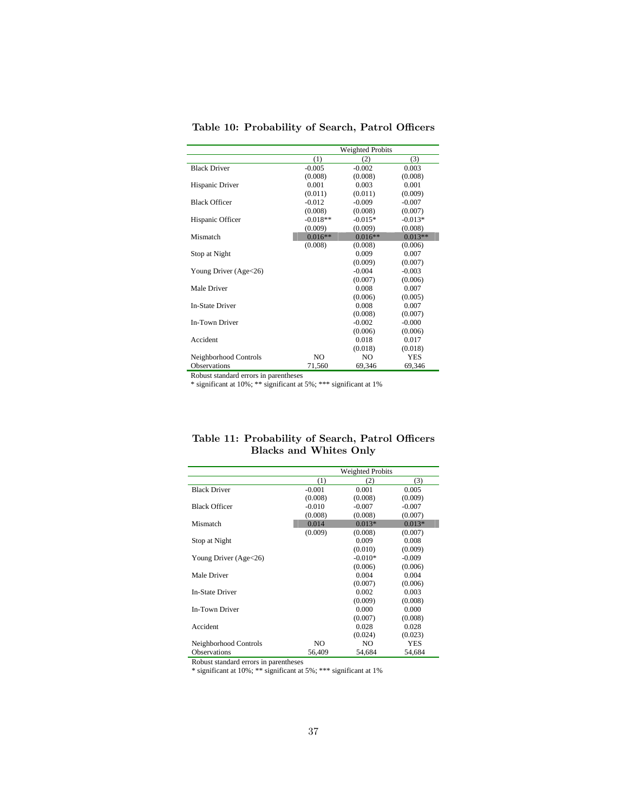|                        | <b>Weighted Probits</b> |                |            |  |  |
|------------------------|-------------------------|----------------|------------|--|--|
|                        | (1)                     | (2)            | (3)        |  |  |
| <b>Black Driver</b>    | $-0.005$                | $-0.002$       | 0.003      |  |  |
|                        | (0.008)                 | (0.008)        | (0.008)    |  |  |
| Hispanic Driver        | 0.001                   | 0.003          | 0.001      |  |  |
|                        | (0.011)                 | (0.011)        | (0.009)    |  |  |
| <b>Black Officer</b>   | $-0.012$                | $-0.009$       | $-0.007$   |  |  |
|                        | (0.008)                 | (0.008)        | (0.007)    |  |  |
| Hispanic Officer       | $-0.018**$              | $-0.015*$      | $-0.013*$  |  |  |
|                        | (0.009)                 | (0.009)        | (0.008)    |  |  |
| Mismatch               | $0.016**$               | $0.016**$      | $0.013**$  |  |  |
|                        | (0.008)                 | (0.008)        | (0.006)    |  |  |
| Stop at Night          |                         | 0.009          | 0.007      |  |  |
|                        |                         | (0.009)        | (0.007)    |  |  |
| Young Driver (Age<26)  |                         | $-0.004$       | $-0.003$   |  |  |
|                        |                         | (0.007)        | (0.006)    |  |  |
| Male Driver            |                         | 0.008          | 0.007      |  |  |
|                        |                         | (0.006)        | (0.005)    |  |  |
| <b>In-State Driver</b> |                         | 0.008          | 0.007      |  |  |
|                        |                         | (0.008)        | (0.007)    |  |  |
| In-Town Driver         |                         | $-0.002$       | $-0.000$   |  |  |
|                        |                         | (0.006)        | (0.006)    |  |  |
| Accident               |                         | 0.018          | 0.017      |  |  |
|                        |                         | (0.018)        | (0.018)    |  |  |
| Neighborhood Controls  | N <sub>O</sub>          | N <sub>O</sub> | <b>YES</b> |  |  |
| <b>Observations</b>    | 71,560                  | 69,346         | 69,346     |  |  |

Table 10: Probability of Search, Patrol Officers

\* significant at 10%; \*\* significant at 5%; \*\*\* significant at 1%

|                        |          | <b>Weighted Probits</b> |            |
|------------------------|----------|-------------------------|------------|
|                        | (1)      | (2)                     | (3)        |
| <b>Black Driver</b>    | $-0.001$ | 0.001                   | 0.005      |
|                        | (0.008)  | (0.008)                 | (0.009)    |
| <b>Black Officer</b>   | $-0.010$ | $-0.007$                | $-0.007$   |
|                        | (0.008)  | (0.008)                 | (0.007)    |
| Mismatch               | 0.014    | $0.013*$                | $0.013*$   |
|                        | (0.009)  | (0.008)                 | (0.007)    |
| Stop at Night          |          | 0.009                   | 0.008      |
|                        |          | (0.010)                 | (0.009)    |
| Young Driver (Age<26)  |          | $-0.010*$               | $-0.009$   |
|                        |          | (0.006)                 | (0.006)    |
| Male Driver            |          | 0.004                   | 0.004      |
|                        |          | (0.007)                 | (0.006)    |
| <b>In-State Driver</b> |          | 0.002                   | 0.003      |
|                        |          | (0.009)                 | (0.008)    |
| <b>In-Town Driver</b>  |          | 0.000                   | 0.000      |
|                        |          | (0.007)                 | (0.008)    |
| Accident               |          | 0.028                   | 0.028      |
|                        |          | (0.024)                 | (0.023)    |
| Neighborhood Controls  | NO.      | NO.                     | <b>YES</b> |
| <b>Observations</b>    | 56,409   | 54,684                  | 54,684     |

Table 11: Probability of Search, Patrol Officers Blacks and Whites Only

Robust standard errors in parentheses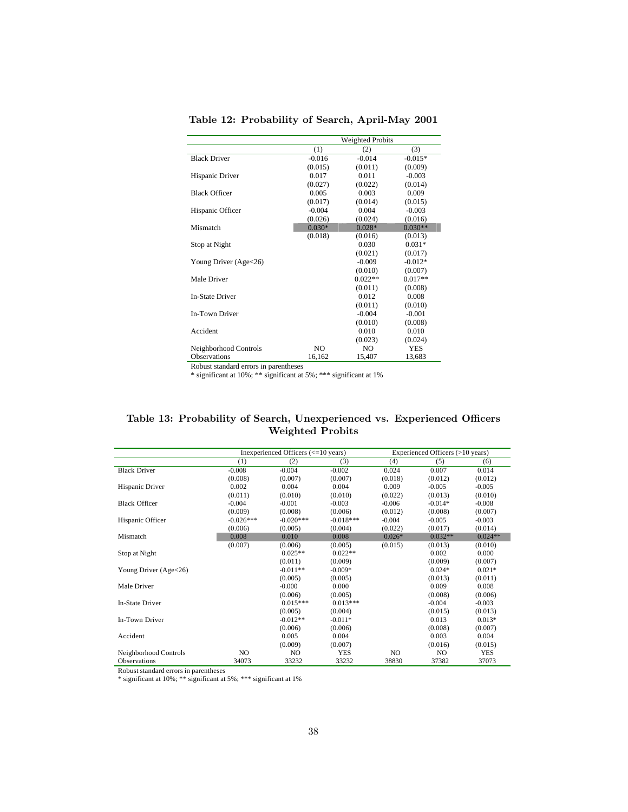|                        |          | Weighted Probits |           |
|------------------------|----------|------------------|-----------|
|                        | (1)      | (2)              | (3)       |
| <b>Black Driver</b>    | $-0.016$ | $-0.014$         | $-0.015*$ |
|                        | (0.015)  | (0.011)          | (0.009)   |
| Hispanic Driver        | 0.017    | 0.011            | $-0.003$  |
|                        | (0.027)  | (0.022)          | (0.014)   |
| <b>Black Officer</b>   | 0.005    | 0.003            | 0.009     |
|                        | (0.017)  | (0.014)          | (0.015)   |
| Hispanic Officer       | $-0.004$ | 0.004            | $-0.003$  |
|                        | (0.026)  | (0.024)          | (0.016)   |
| Mismatch               | $0.030*$ | $0.028*$         | $0.030**$ |
|                        | (0.018)  | (0.016)          | (0.013)   |
| Stop at Night          |          | 0.030            | $0.031*$  |
|                        |          | (0.021)          | (0.017)   |
| Young Driver (Age<26)  |          | $-0.009$         | $-0.012*$ |
|                        |          | (0.010)          | (0.007)   |
| Male Driver            |          | $0.022**$        | $0.017**$ |
|                        |          | (0.011)          | (0.008)   |
| <b>In-State Driver</b> |          | 0.012            | 0.008     |
|                        |          | (0.011)          | (0.010)   |
| In-Town Driver         |          | $-0.004$         | $-0.001$  |
|                        |          | (0.010)          | (0.008)   |
| Accident               |          | 0.010            | 0.010     |
|                        |          | (0.023)          | (0.024)   |
| Neighborhood Controls  | NO.      | NO.              | YES       |
| <b>Observations</b>    | 16,162   | 15,407           | 13,683    |

Table 12: Probability of Search, April-May 2001

\* significant at 10%; \*\* significant at 5%; \*\*\* significant at 1%

#### Table 13: Probability of Search, Unexperienced vs. Experienced Officers Weighted Probits

|                         |             | Inexperienced Officers $\left( \leq 10 \right)$ years) |             |          | Experienced Officers (>10 years) |            |
|-------------------------|-------------|--------------------------------------------------------|-------------|----------|----------------------------------|------------|
|                         | (1)         | (2)                                                    | (3)         | (4)      | (5)                              | (6)        |
| <b>Black Driver</b>     | $-0.008$    | $-0.004$                                               | $-0.002$    | 0.024    | 0.007                            | 0.014      |
|                         | (0.008)     | (0.007)                                                | (0.007)     | (0.018)  | (0.012)                          | (0.012)    |
| Hispanic Driver         | 0.002       | 0.004                                                  | 0.004       | 0.009    | $-0.005$                         | $-0.005$   |
|                         | (0.011)     | (0.010)                                                | (0.010)     | (0.022)  | (0.013)                          | (0.010)    |
| <b>Black Officer</b>    | $-0.004$    | $-0.001$                                               | $-0.003$    | $-0.006$ | $-0.014*$                        | $-0.008$   |
|                         | (0.009)     | (0.008)                                                | (0.006)     | (0.012)  | (0.008)                          | (0.007)    |
| Hispanic Officer        | $-0.026***$ | $-0.020***$                                            | $-0.018***$ | $-0.004$ | $-0.005$                         | $-0.003$   |
|                         | (0.006)     | (0.005)                                                | (0.004)     | (0.022)  | (0.017)                          | (0.014)    |
| Mismatch                | 0.008       | 0.010                                                  | 0.008       | $0.026*$ | $0.032**$                        | $0.024**$  |
|                         | (0.007)     | (0.006)                                                | (0.005)     | (0.015)  | (0.013)                          | (0.010)    |
| Stop at Night           |             | $0.025**$                                              | $0.022**$   |          | 0.002                            | 0.000      |
|                         |             | (0.011)                                                | (0.009)     |          | (0.009)                          | (0.007)    |
| Young Driver $(Age<26)$ |             | $-0.011**$                                             | $-0.009*$   |          | $0.024*$                         | $0.021*$   |
|                         |             | (0.005)                                                | (0.005)     |          | (0.013)                          | (0.011)    |
| Male Driver             |             | $-0.000$                                               | 0.000       |          | 0.009                            | 0.008      |
|                         |             | (0.006)                                                | (0.005)     |          | (0.008)                          | (0.006)    |
| In-State Driver         |             | $0.015***$                                             | $0.013***$  |          | $-0.004$                         | $-0.003$   |
|                         |             | (0.005)                                                | (0.004)     |          | (0.015)                          | (0.013)    |
| In-Town Driver          |             | $-0.012**$                                             | $-0.011*$   |          | 0.013                            | $0.013*$   |
|                         |             | (0.006)                                                | (0.006)     |          | (0.008)                          | (0.007)    |
| Accident                |             | 0.005                                                  | 0.004       |          | 0.003                            | 0.004      |
|                         |             | (0.009)                                                | (0.007)     |          | (0.016)                          | (0.015)    |
| Neighborhood Controls   | NO          | NO                                                     | <b>YES</b>  | NO.      | NO                               | <b>YES</b> |
| <b>Observations</b>     | 34073       | 33232                                                  | 33232       | 38830    | 37382                            | 37073      |

Robust standard errors in parentheses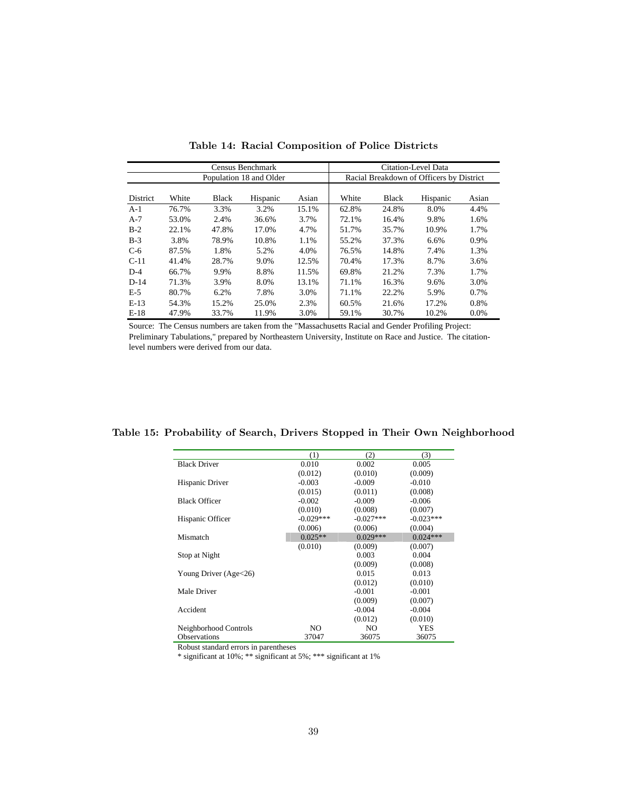| Census Benchmark        |       |              |          |       |       | Citation-Level Data                      |          |         |
|-------------------------|-------|--------------|----------|-------|-------|------------------------------------------|----------|---------|
| Population 18 and Older |       |              |          |       |       | Racial Breakdown of Officers by District |          |         |
| District                | White | <b>Black</b> | Hispanic | Asian | White | <b>Black</b>                             | Hispanic | Asian   |
| $A-1$                   | 76.7% | 3.3%         | 3.2%     | 15.1% | 62.8% | 24.8%                                    | 8.0%     | 4.4%    |
| $A-7$                   | 53.0% | 2.4%         | 36.6%    | 3.7%  | 72.1% | 16.4%                                    | 9.8%     | 1.6%    |
| $B-2$                   | 22.1% | 47.8%        | 17.0%    | 4.7%  | 51.7% | 35.7%                                    | 10.9%    | 1.7%    |
| $B-3$                   | 3.8%  | 78.9%        | 10.8%    | 1.1%  | 55.2% | 37.3%                                    | 6.6%     | 0.9%    |
| $C-6$                   | 87.5% | 1.8%         | 5.2%     | 4.0%  | 76.5% | 14.8%                                    | 7.4%     | 1.3%    |
| $C-11$                  | 41.4% | 28.7%        | 9.0%     | 12.5% | 70.4% | 17.3%                                    | 8.7%     | 3.6%    |
| $D-4$                   | 66.7% | 9.9%         | 8.8%     | 11.5% | 69.8% | 21.2%                                    | 7.3%     | 1.7%    |
| $D-14$                  | 71.3% | 3.9%         | 8.0%     | 13.1% | 71.1% | 16.3%                                    | 9.6%     | 3.0%    |
| $E-5$                   | 80.7% | 6.2%         | 7.8%     | 3.0%  | 71.1% | 22.2%                                    | 5.9%     | 0.7%    |
| $E-13$                  | 54.3% | 15.2%        | 25.0%    | 2.3%  | 60.5% | 21.6%                                    | 17.2%    | 0.8%    |
| $E-18$                  | 47.9% | 33.7%        | 11.9%    | 3.0%  | 59.1% | 30.7%                                    | 10.2%    | $0.0\%$ |

Table 14: Racial Composition of Police Districts

Source: The Census numbers are taken from the "Massachusetts Racial and Gender Profiling Project: Preliminary Tabulations," prepared by Northeastern University, Institute on Race and Justice. The citationlevel numbers were derived from our data.

|                       | (1)         | (2)         | (3)         |
|-----------------------|-------------|-------------|-------------|
| <b>Black Driver</b>   | 0.010       | 0.002       | 0.005       |
|                       | (0.012)     | (0.010)     | (0.009)     |
| Hispanic Driver       | $-0.003$    | $-0.009$    | $-0.010$    |
|                       | (0.015)     | (0.011)     | (0.008)     |
| <b>Black Officer</b>  | $-0.002$    | $-0.009$    | $-0.006$    |
|                       | (0.010)     | (0.008)     | (0.007)     |
| Hispanic Officer      | $-0.029***$ | $-0.027***$ | $-0.023***$ |
|                       | (0.006)     | (0.006)     | (0.004)     |
| Mismatch              | $0.025**$   | $0.029***$  | $0.024***$  |
|                       | (0.010)     | (0.009)     | (0.007)     |
| Stop at Night         |             | 0.003       | 0.004       |
|                       |             | (0.009)     | (0.008)     |
| Young Driver (Age<26) |             | 0.015       | 0.013       |
|                       |             | (0.012)     | (0.010)     |
| Male Driver           |             | $-0.001$    | $-0.001$    |
|                       |             | (0.009)     | (0.007)     |
| Accident              |             | $-0.004$    | $-0.004$    |
|                       |             | (0.012)     | (0.010)     |
| Neighborhood Controls | NO          | NO          | <b>YES</b>  |
| Observations          | 37047       | 36075       | 36075       |

Table 15: Probability of Search, Drivers Stopped in Their Own Neighborhood

Robust standard errors in parentheses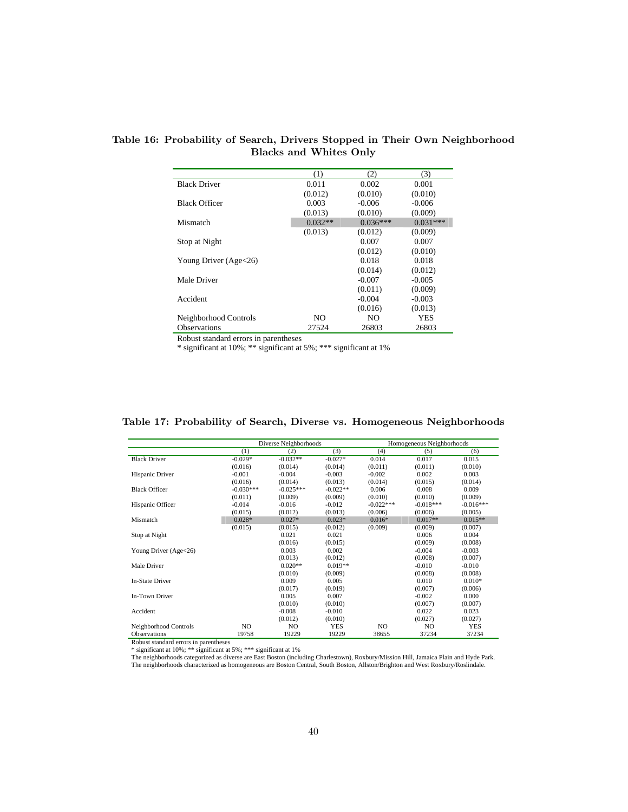|                         | (1)       | (2)        | (3)        |
|-------------------------|-----------|------------|------------|
| <b>Black Driver</b>     | 0.011     | 0.002      | 0.001      |
|                         | (0.012)   | (0.010)    | (0.010)    |
| <b>Black Officer</b>    | 0.003     | $-0.006$   | $-0.006$   |
|                         | (0.013)   | (0.010)    | (0.009)    |
| Mismatch                | $0.032**$ | $0.036***$ | $0.031***$ |
|                         | (0.013)   | (0.012)    | (0.009)    |
| Stop at Night           |           | 0.007      | 0.007      |
|                         |           | (0.012)    | (0.010)    |
| Young Driver $(Age<26)$ |           | 0.018      | 0.018      |
|                         |           | (0.014)    | (0.012)    |
| Male Driver             |           | $-0.007$   | $-0.005$   |
|                         |           | (0.011)    | (0.009)    |
| Accident                |           | $-0.004$   | $-0.003$   |
|                         |           | (0.016)    | (0.013)    |
| Neighborhood Controls   | NO.       | NO.        | YES        |
| <b>Observations</b>     | 27524     | 26803      | 26803      |

Table 16: Probability of Search, Drivers Stopped in Their Own Neighborhood **6** Blacks and Whites Only

\* significant at 10%; \*\* significant at 5%; \*\*\* significant at 1%

|                        |             | Diverse Neighborhoods |            |             | Homogeneous Neighborhoods |             |
|------------------------|-------------|-----------------------|------------|-------------|---------------------------|-------------|
|                        | (1)         | (2)                   | (3)        | (4)         | (5)                       | (6)         |
| <b>Black Driver</b>    | $-0.029*$   | $-0.032**$            | $-0.027*$  | 0.014       | 0.017                     | 0.015       |
|                        | (0.016)     | (0.014)               | (0.014)    | (0.011)     | (0.011)                   | (0.010)     |
| Hispanic Driver        | $-0.001$    | $-0.004$              | $-0.003$   | $-0.002$    | 0.002                     | 0.003       |
|                        | (0.016)     | (0.014)               | (0.013)    | (0.014)     | (0.015)                   | (0.014)     |
| <b>Black Officer</b>   | $-0.030***$ | $-0.025***$           | $-0.022**$ | 0.006       | 0.008                     | 0.009       |
|                        | (0.011)     | (0.009)               | (0.009)    | (0.010)     | (0.010)                   | (0.009)     |
| Hispanic Officer       | $-0.014$    | $-0.016$              | $-0.012$   | $-0.022***$ | $-0.018***$               | $-0.016***$ |
|                        | (0.015)     | (0.012)               | (0.013)    | (0.006)     | (0.006)                   | (0.005)     |
| Mismatch               | $0.028*$    | $0.027*$              | $0.023*$   | $0.016*$    | $0.017**$                 | $0.015**$   |
|                        | (0.015)     | (0.015)               | (0.012)    | (0.009)     | (0.009)                   | (0.007)     |
| Stop at Night          |             | 0.021                 | 0.021      |             | 0.006                     | 0.004       |
|                        |             | (0.016)               | (0.015)    |             | (0.009)                   | (0.008)     |
| Young Driver (Age<26)  |             | 0.003                 | 0.002      |             | $-0.004$                  | $-0.003$    |
|                        |             | (0.013)               | (0.012)    |             | (0.008)                   | (0.007)     |
| Male Driver            |             | $0.020**$             | $0.019**$  |             | $-0.010$                  | $-0.010$    |
|                        |             | (0.010)               | (0.009)    |             | (0.008)                   | (0.008)     |
| <b>In-State Driver</b> |             | 0.009                 | 0.005      |             | 0.010                     | $0.010*$    |
|                        |             | (0.017)               | (0.019)    |             | (0.007)                   | (0.006)     |
| In-Town Driver         |             | 0.005                 | 0.007      |             | $-0.002$                  | 0.000       |
|                        |             | (0.010)               | (0.010)    |             | (0.007)                   | (0.007)     |
| Accident               |             | $-0.008$              | $-0.010$   |             | 0.022                     | 0.023       |
|                        |             | (0.012)               | (0.010)    |             | (0.027)                   | (0.027)     |
| Neighborhood Controls  | NO.         | N <sub>O</sub>        | <b>YES</b> | NO.         | N <sub>O</sub>            | <b>YES</b>  |
| <b>Observations</b>    | 19758       | 19229                 | 19229      | 38655       | 37234                     | 37234       |

#### Table 17: Probability of Search, Diverse vs. Homogeneous Neighborhoods

Robust standard errors in parentheses<br>\* significant at 10%; \*\* significant at 5%; \*\*\* significant at 1%<br>The neighborhoods categorized as diverse are East Boston (including Charlestown), Roxbury/Mission Hill, Jamaica Plain